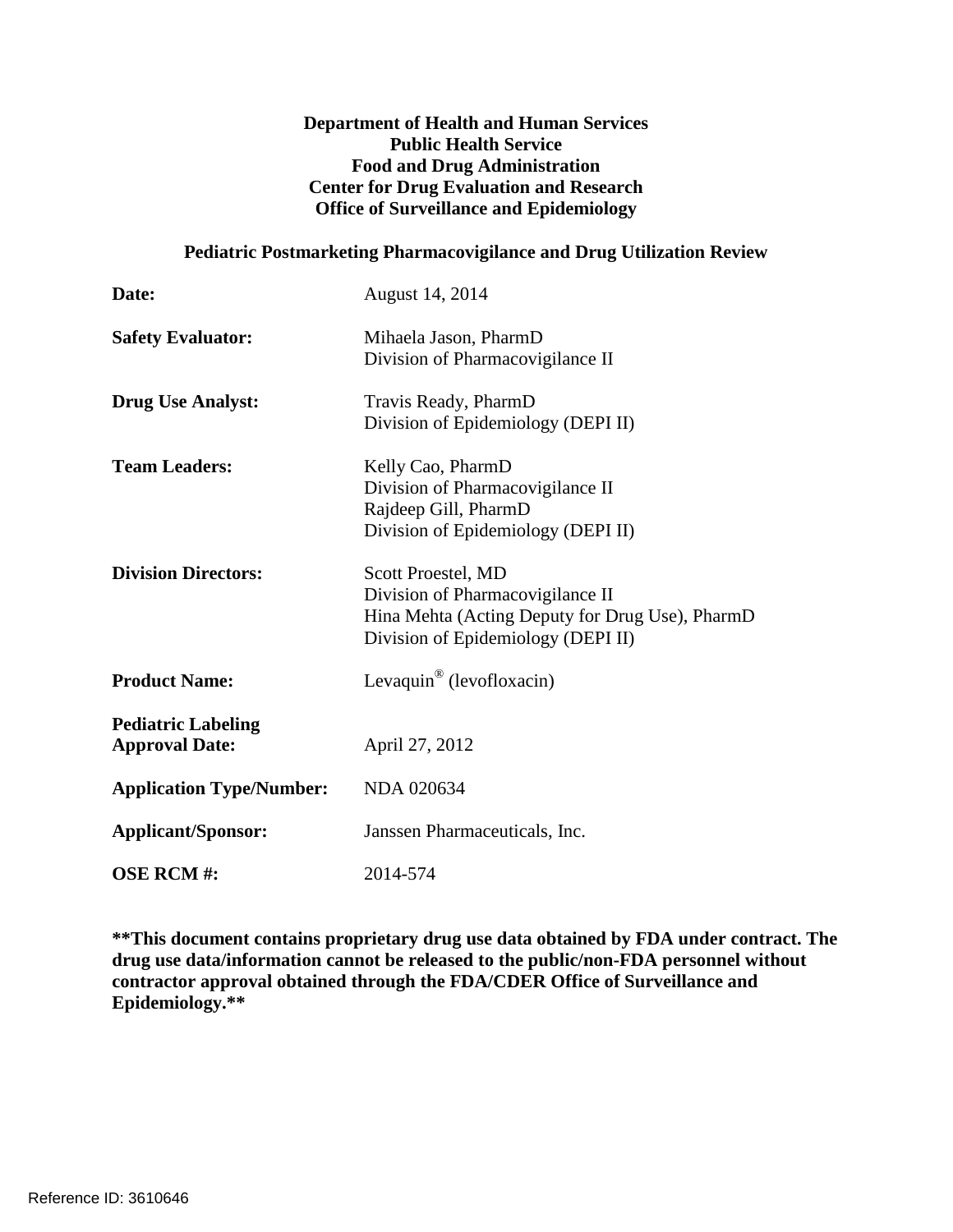### **Department of Health and Human Services Public Health Service Food and Drug Administration Center for Drug Evaluation and Research Office of Surveillance and Epidemiology**

#### **Pediatric Postmarketing Pharmacovigilance and Drug Utilization Review**

| Date:                                              | August 14, 2014                                                                                                                                 |
|----------------------------------------------------|-------------------------------------------------------------------------------------------------------------------------------------------------|
| <b>Safety Evaluator:</b>                           | Mihaela Jason, PharmD<br>Division of Pharmacovigilance II                                                                                       |
| <b>Drug Use Analyst:</b>                           | Travis Ready, PharmD<br>Division of Epidemiology (DEPI II)                                                                                      |
| <b>Team Leaders:</b>                               | Kelly Cao, PharmD<br>Division of Pharmacovigilance II<br>Rajdeep Gill, PharmD<br>Division of Epidemiology (DEPI II)                             |
| <b>Division Directors:</b>                         | Scott Proestel, MD<br>Division of Pharmacovigilance II<br>Hina Mehta (Acting Deputy for Drug Use), PharmD<br>Division of Epidemiology (DEPI II) |
| <b>Product Name:</b>                               | Levaquin <sup>®</sup> (levofloxacin)                                                                                                            |
| <b>Pediatric Labeling</b><br><b>Approval Date:</b> | April 27, 2012                                                                                                                                  |
| <b>Application Type/Number:</b>                    | NDA 020634                                                                                                                                      |
| <b>Applicant/Sponsor:</b>                          | Janssen Pharmaceuticals, Inc.                                                                                                                   |
| <b>OSE RCM#:</b>                                   | 2014-574                                                                                                                                        |

**\*\*This document contains proprietary drug use data obtained by FDA under contract. The drug use data/information cannot be released to the public/non-FDA personnel without contractor approval obtained through the FDA/CDER Office of Surveillance and Epidemiology.\*\***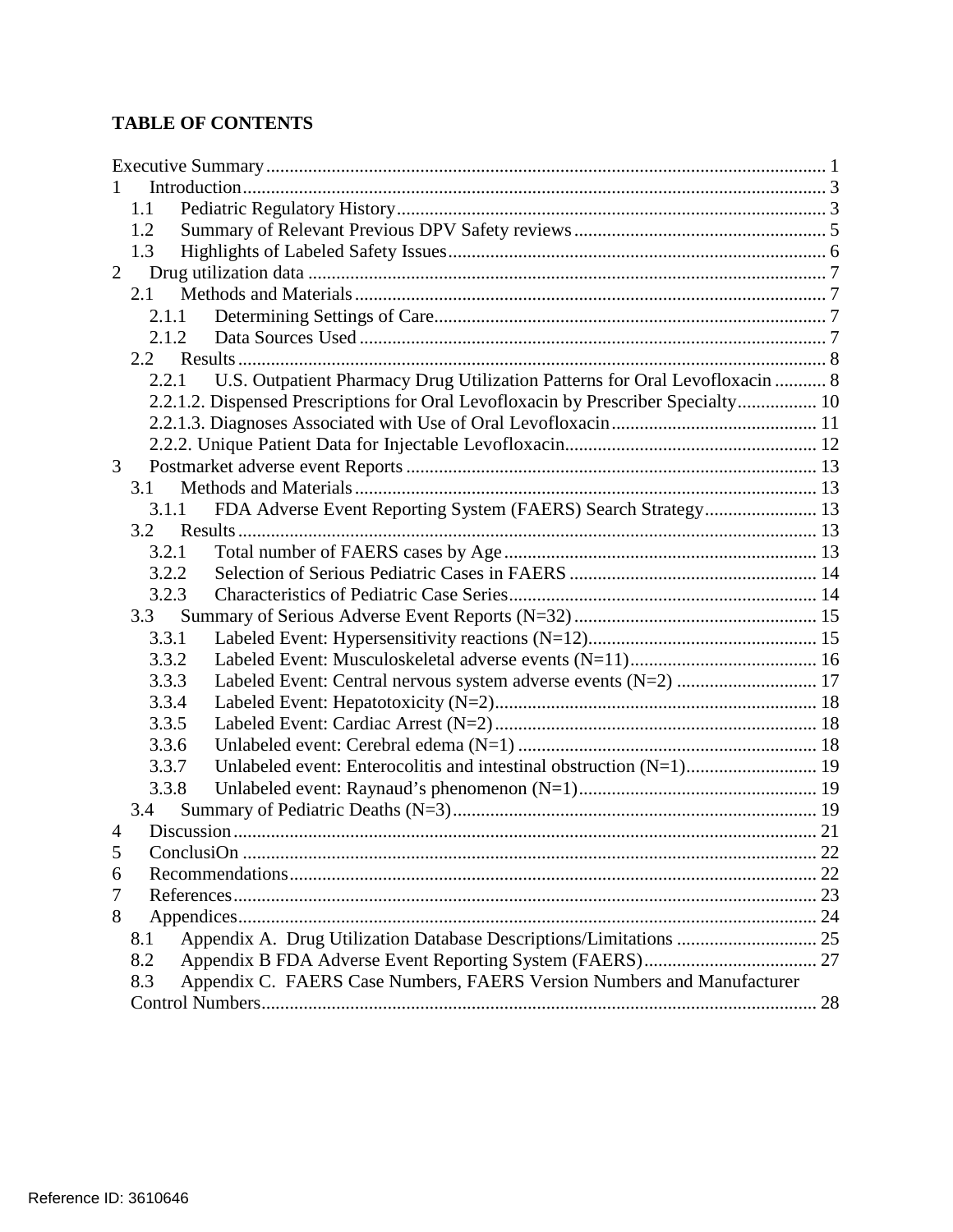# **TABLE OF CONTENTS**

|                | 1.1                                                                                  |  |
|----------------|--------------------------------------------------------------------------------------|--|
|                | 1.2                                                                                  |  |
|                | 1.3                                                                                  |  |
| $\overline{2}$ |                                                                                      |  |
|                | 2.1                                                                                  |  |
|                | 2.1.1                                                                                |  |
|                | 2.1.2                                                                                |  |
|                | 2.2                                                                                  |  |
|                | U.S. Outpatient Pharmacy Drug Utilization Patterns for Oral Levofloxacin  8<br>2.2.1 |  |
|                | 2.2.1.2. Dispensed Prescriptions for Oral Levofloxacin by Prescriber Specialty 10    |  |
|                |                                                                                      |  |
|                |                                                                                      |  |
| 3              |                                                                                      |  |
|                | 3.1                                                                                  |  |
|                | FDA Adverse Event Reporting System (FAERS) Search Strategy 13<br>3.1.1               |  |
|                | 3.2                                                                                  |  |
|                | 3.2.1                                                                                |  |
|                | 3.2.2                                                                                |  |
|                | 3.2.3                                                                                |  |
|                | 3.3                                                                                  |  |
|                | 3.3.1                                                                                |  |
|                | 3.3.2                                                                                |  |
|                | 3.3.3                                                                                |  |
|                | 3.3.4                                                                                |  |
|                | 3.3.5                                                                                |  |
|                | 3.3.6                                                                                |  |
|                | Unlabeled event: Enterocolitis and intestinal obstruction (N=1) 19<br>3.3.7          |  |
|                | 3.3.8                                                                                |  |
|                | 3.4                                                                                  |  |
| 4              |                                                                                      |  |
|                |                                                                                      |  |
| 6              |                                                                                      |  |
| 7              |                                                                                      |  |
| 8              |                                                                                      |  |
|                | 8.1                                                                                  |  |
|                | 8.2                                                                                  |  |
|                | 8.3<br>Appendix C. FAERS Case Numbers, FAERS Version Numbers and Manufacturer        |  |
|                |                                                                                      |  |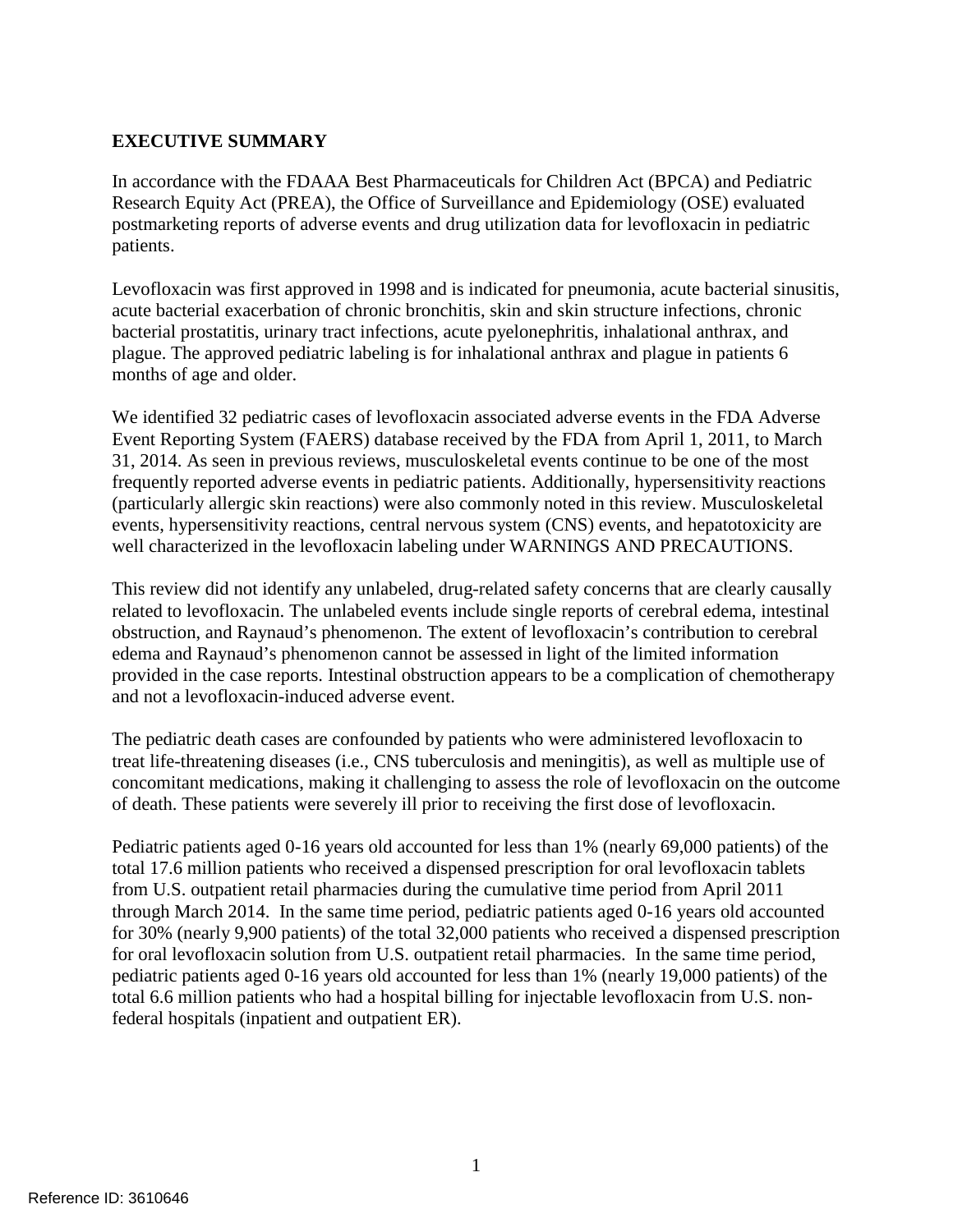# <span id="page-2-0"></span>**EXECUTIVE SUMMARY**

In accordance with the FDAAA Best Pharmaceuticals for Children Act (BPCA) and Pediatric Research Equity Act (PREA), the Office of Surveillance and Epidemiology (OSE) evaluated postmarketing reports of adverse events and drug utilization data for levofloxacin in pediatric patients.

Levofloxacin was first approved in 1998 and is indicated for pneumonia, acute bacterial sinusitis, acute bacterial exacerbation of chronic bronchitis, skin and skin structure infections, chronic bacterial prostatitis, urinary tract infections, acute pyelonephritis, inhalational anthrax, and plague. The approved pediatric labeling is for inhalational anthrax and plague in patients 6 months of age and older.

We identified 32 pediatric cases of levofloxacin associated adverse events in the FDA Adverse Event Reporting System (FAERS) database received by the FDA from April 1, 2011, to March 31, 2014. As seen in previous reviews, musculoskeletal events continue to be one of the most frequently reported adverse events in pediatric patients. Additionally, hypersensitivity reactions (particularly allergic skin reactions) were also commonly noted in this review. Musculoskeletal events, hypersensitivity reactions, central nervous system (CNS) events, and hepatotoxicity are well characterized in the levofloxacin labeling under WARNINGS AND PRECAUTIONS.

This review did not identify any unlabeled, drug-related safety concerns that are clearly causally related to levofloxacin. The unlabeled events include single reports of cerebral edema, intestinal obstruction, and Raynaud's phenomenon. The extent of levofloxacin's contribution to cerebral edema and Raynaud's phenomenon cannot be assessed in light of the limited information provided in the case reports. Intestinal obstruction appears to be a complication of chemotherapy and not a levofloxacin-induced adverse event.

The pediatric death cases are confounded by patients who were administered levofloxacin to treat life-threatening diseases (i.e., CNS tuberculosis and meningitis), as well as multiple use of concomitant medications, making it challenging to assess the role of levofloxacin on the outcome of death. These patients were severely ill prior to receiving the first dose of levofloxacin.

Pediatric patients aged 0-16 years old accounted for less than 1% (nearly 69,000 patients) of the total 17.6 million patients who received a dispensed prescription for oral levofloxacin tablets from U.S. outpatient retail pharmacies during the cumulative time period from April 2011 through March 2014. In the same time period, pediatric patients aged 0-16 years old accounted for 30% (nearly 9,900 patients) of the total 32,000 patients who received a dispensed prescription for oral levofloxacin solution from U.S. outpatient retail pharmacies. In the same time period, pediatric patients aged 0-16 years old accounted for less than 1% (nearly 19,000 patients) of the total 6.6 million patients who had a hospital billing for injectable levofloxacin from U.S. nonfederal hospitals (inpatient and outpatient ER).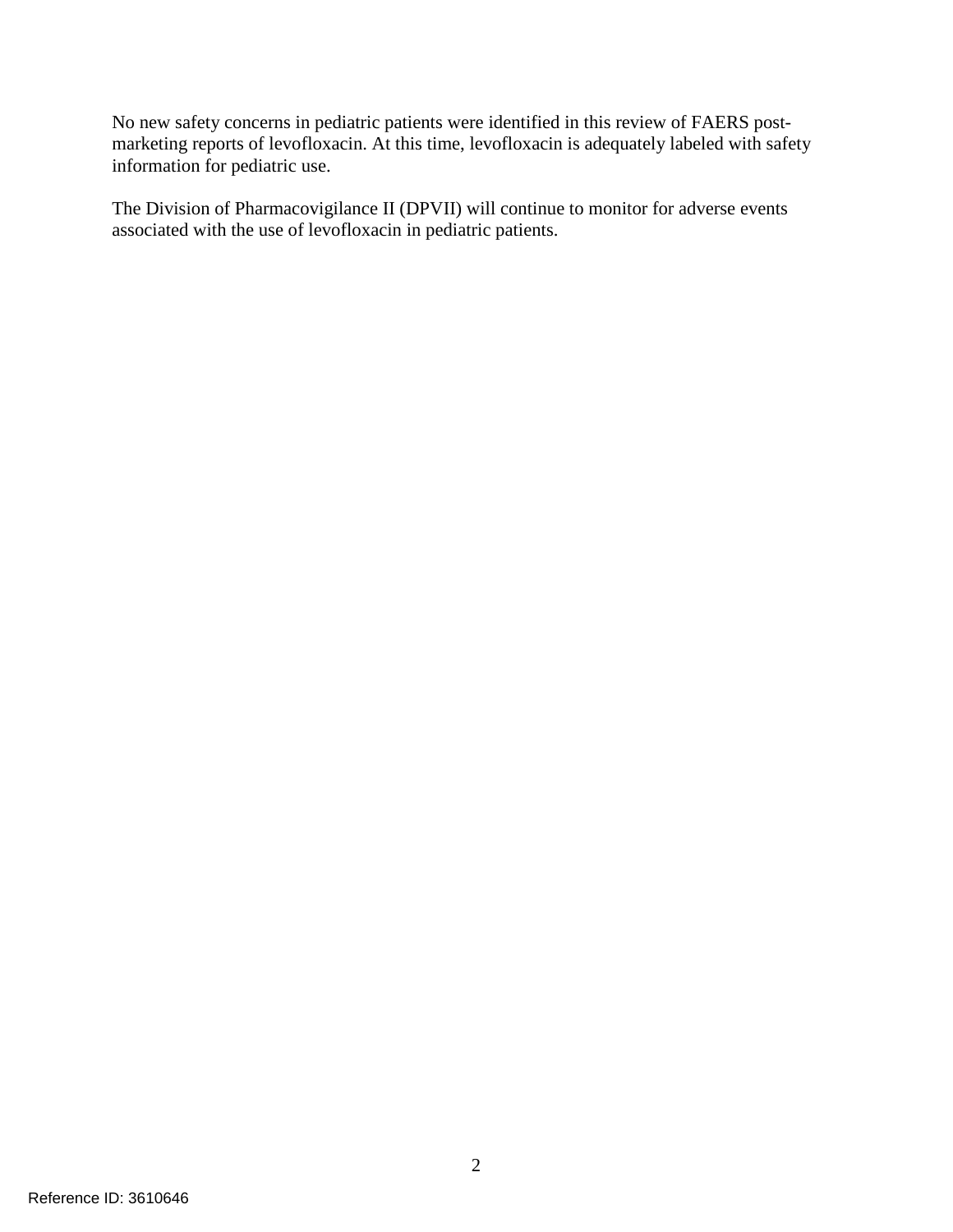No new safety concerns in pediatric patients were identified in this review of FAERS postmarketing reports of levofloxacin. At this time, levofloxacin is adequately labeled with safety information for pediatric use.

The Division of Pharmacovigilance II (DPVII) will continue to monitor for adverse events associated with the use of levofloxacin in pediatric patients.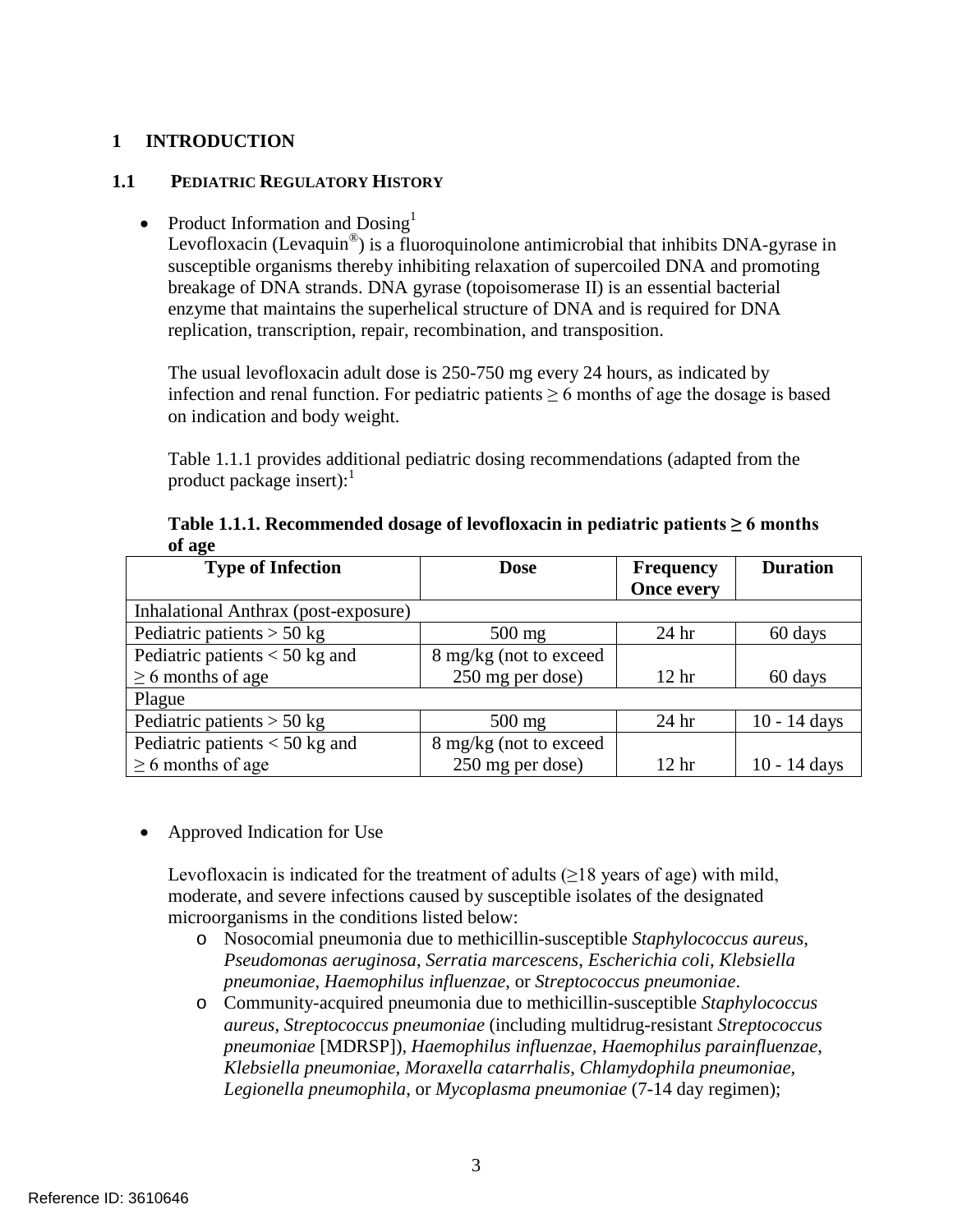# <span id="page-4-0"></span>**1 INTRODUCTION**

### <span id="page-4-1"></span>**1.1 PEDIATRIC REGULATORY HISTORY**

• Product Information and  $Dosing<sup>1</sup>$ 

Levofloxacin (Levaquin®) is a fluoroquinolone antimicrobial that inhibits DNA-gyrase in susceptible organisms thereby inhibiting relaxation of supercoiled DNA and promoting breakage of DNA strands. DNA gyrase (topoisomerase II) is an essential bacterial enzyme that maintains the superhelical structure of DNA and is required for DNA replication, transcription, repair, recombination, and transposition.

The usual levofloxacin adult dose is 250-750 mg every 24 hours, as indicated by infection and renal function. For pediatric patients  $\geq 6$  months of age the dosage is based on indication and body weight.

Table 1.1.1 provides additional pediatric dosing recommendations (adapted from the product package insert):<sup>1</sup>

| <b>Type of Infection</b>             | <b>Dose</b>            | <b>Frequency</b>  | <b>Duration</b> |
|--------------------------------------|------------------------|-------------------|-----------------|
|                                      |                        | <b>Once every</b> |                 |
| Inhalational Anthrax (post-exposure) |                        |                   |                 |
| Pediatric patients $> 50$ kg         | $500$ mg               | 24 <sub>hr</sub>  | 60 days         |
| Pediatric patients $<$ 50 kg and     | 8 mg/kg (not to exceed |                   |                 |
| $\geq 6$ months of age               | 250 mg per dose)       | 12 <sup>hr</sup>  | 60 days         |
| Plague                               |                        |                   |                 |
| Pediatric patients $> 50$ kg         | $500$ mg               | 24 <sub>hr</sub>  | $10 - 14$ days  |
| Pediatric patients $<$ 50 kg and     | 8 mg/kg (not to exceed |                   |                 |
| $\geq 6$ months of age               | 250 mg per dose)       | 12 <sup>hr</sup>  | $10 - 14$ days  |

Table 1.1.1. Recommended dosage of levofloxacin in pediatric patients  $\geq 6$  months **of age**

• Approved Indication for Use

Levofloxacin is indicated for the treatment of adults  $(\geq 18$  years of age) with mild, moderate, and severe infections caused by susceptible isolates of the designated microorganisms in the conditions listed below:

- o Nosocomial pneumonia due to methicillin-susceptible *Staphylococcus aureus*, *Pseudomonas aeruginosa*, *Serratia marcescens*, *Escherichia coli*, *Klebsiella pneumoniae*, *Haemophilus influenzae*, or *Streptococcus pneumoniae*.
- o Community-acquired pneumonia due to methicillin-susceptible *Staphylococcus aureus*, *Streptococcus pneumoniae* (including multidrug-resistant *Streptococcus pneumoniae* [MDRSP]), *Haemophilus influenzae*, *Haemophilus parainfluenzae*, *Klebsiella pneumoniae*, *Moraxella catarrhalis*, *Chlamydophila pneumoniae*, *Legionella pneumophila*, or *Mycoplasma pneumoniae* (7-14 day regimen);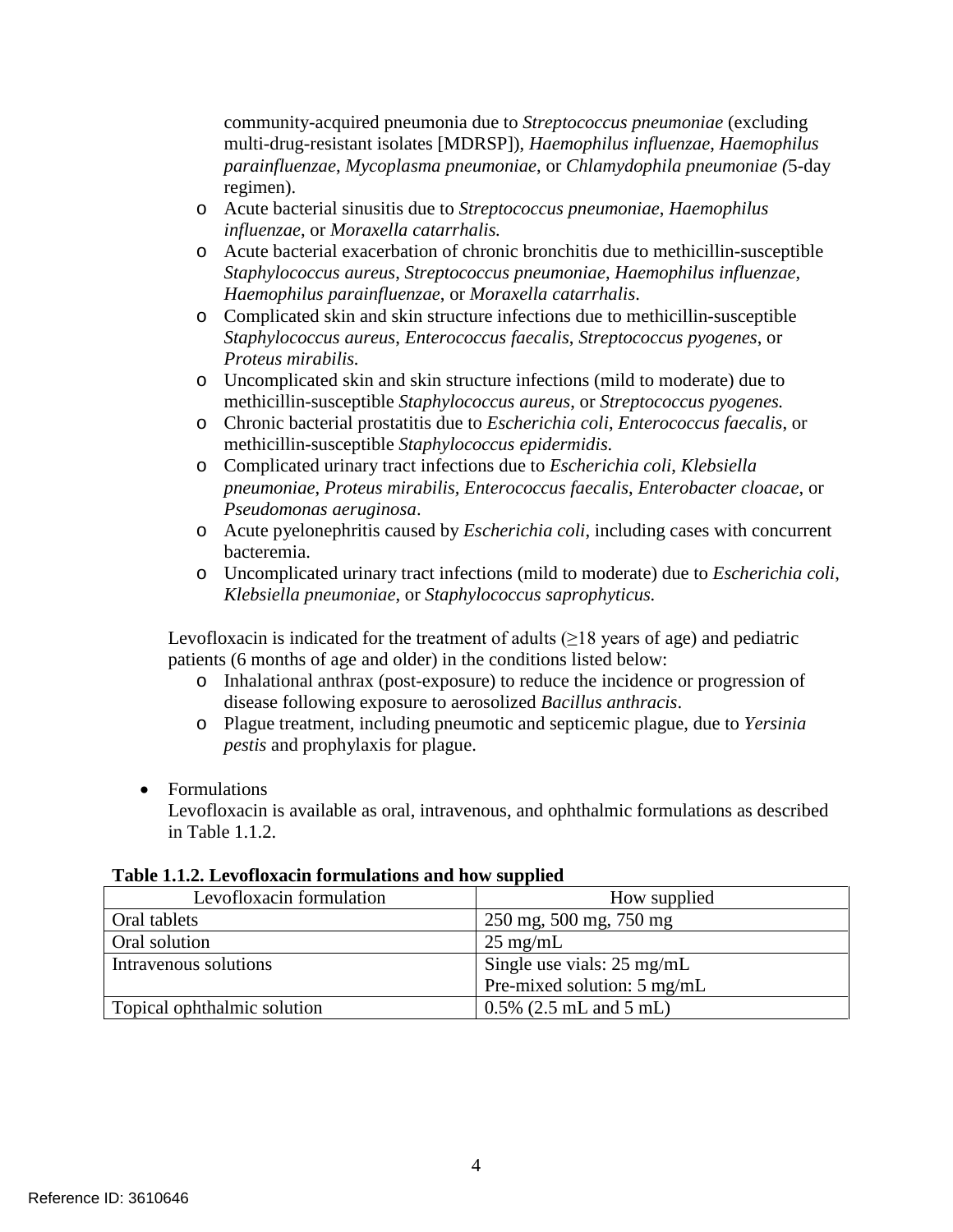community-acquired pneumonia due to *Streptococcus pneumoniae* (excluding multi-drug-resistant isolates [MDRSP]), *Haemophilus influenzae*, *Haemophilus parainfluenzae*, *Mycoplasma pneumoniae*, or *Chlamydophila pneumoniae (*5-day regimen).

- o Acute bacterial sinusitis due to *Streptococcus pneumoniae*, *Haemophilus influenzae*, or *Moraxella catarrhalis.*
- o Acute bacterial exacerbation of chronic bronchitis due to methicillin-susceptible *Staphylococcus aureus*, *Streptococcus pneumoniae*, *Haemophilus influenzae*, *Haemophilus parainfluenzae*, or *Moraxella catarrhalis*.
- o Complicated skin and skin structure infections due to methicillin-susceptible *Staphylococcus aureus*, *Enterococcus faecalis*, *Streptococcus pyogenes*, or *Proteus mirabilis.*
- o Uncomplicated skin and skin structure infections (mild to moderate) due to methicillin-susceptible *Staphylococcus aureus*, or *Streptococcus pyogenes.*
- o Chronic bacterial prostatitis due to *Escherichia coli*, *Enterococcus faecalis*, or methicillin-susceptible *Staphylococcus epidermidis.*
- o Complicated urinary tract infections due to *Escherichia coli*, *Klebsiella pneumoniae*, *Proteus mirabilis, Enterococcus faecalis*, *Enterobacter cloacae*, or *Pseudomonas aeruginosa*.
- o Acute pyelonephritis caused by *Escherichia coli*, including cases with concurrent bacteremia.
- o Uncomplicated urinary tract infections (mild to moderate) due to *Escherichia coli*, *Klebsiella pneumoniae*, or *Staphylococcus saprophyticus.*

Levofloxacin is indicated for the treatment of adults  $(\geq 18$  years of age) and pediatric patients (6 months of age and older) in the conditions listed below:

- o Inhalational anthrax (post-exposure) to reduce the incidence or progression of disease following exposure to aerosolized *Bacillus anthracis*.
- o Plague treatment, including pneumotic and septicemic plague, due to *Yersinia pestis* and prophylaxis for plague.
- Formulations

Levofloxacin is available as oral, intravenous, and ophthalmic formulations as described in Table 1.1.2.

#### **Table 1.1.2. Levofloxacin formulations and how supplied**

| Levofloxacin formulation    | How supplied                         |
|-----------------------------|--------------------------------------|
| Oral tablets                | 250 mg, 500 mg, 750 mg               |
| Oral solution               | $25 \text{ mg/mL}$                   |
| Intravenous solutions       | Single use vials: $25 \text{ mg/mL}$ |
|                             | Pre-mixed solution: 5 mg/mL          |
| Topical ophthalmic solution | $0.5\%$ (2.5 mL and 5 mL)            |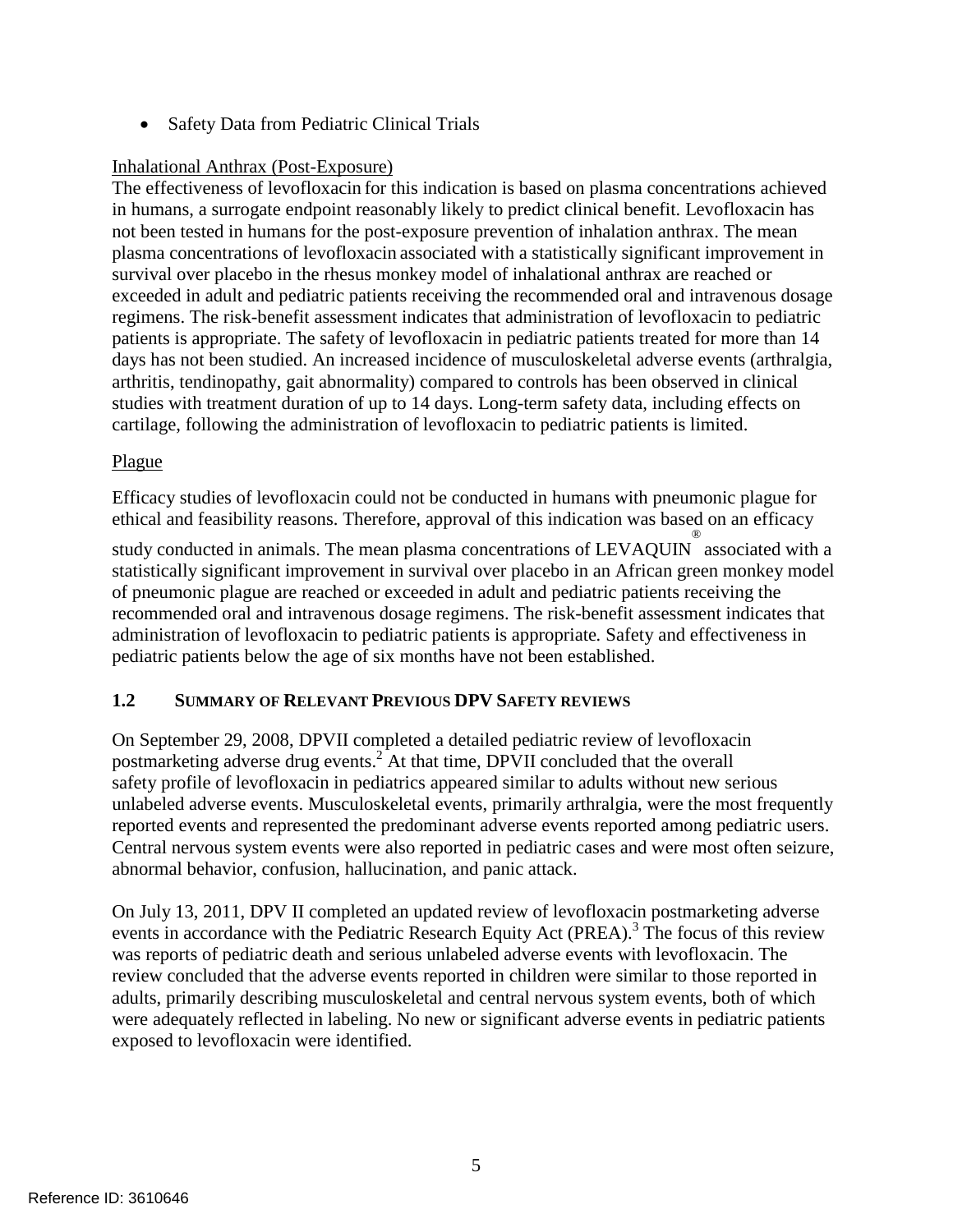• Safety Data from Pediatric Clinical Trials

# Inhalational Anthrax (Post-Exposure)

The effectiveness of levofloxacin for this indication is based on plasma concentrations achieved in humans, a surrogate endpoint reasonably likely to predict clinical benefit. Levofloxacin has not been tested in humans for the post-exposure prevention of inhalation anthrax. The mean plasma concentrations of levofloxacin associated with a statistically significant improvement in survival over placebo in the rhesus monkey model of inhalational anthrax are reached or exceeded in adult and pediatric patients receiving the recommended oral and intravenous dosage regimens. The risk-benefit assessment indicates that administration of levofloxacin to pediatric patients is appropriate. The safety of levofloxacin in pediatric patients treated for more than 14 days has not been studied. An increased incidence of musculoskeletal adverse events (arthralgia, arthritis, tendinopathy, gait abnormality) compared to controls has been observed in clinical studies with treatment duration of up to 14 days. Long-term safety data, including effects on cartilage, following the administration of levofloxacin to pediatric patients is limited.

# Plague

Efficacy studies of levofloxacin could not be conducted in humans with pneumonic plague for ethical and feasibility reasons. Therefore, approval of this indication was based on an efficacy

study conducted in animals. The mean plasma concentrations of LEVAQUIN ® associated with a statistically significant improvement in survival over placebo in an African green monkey model of pneumonic plague are reached or exceeded in adult and pediatric patients receiving the recommended oral and intravenous dosage regimens. The risk-benefit assessment indicates that administration of levofloxacin to pediatric patients is appropriate*.* Safety and effectiveness in pediatric patients below the age of six months have not been established.

# <span id="page-6-0"></span>**1.2 SUMMARY OF RELEVANT PREVIOUS DPV SAFETY REVIEWS**

On September 29, 2008, DPVII completed a detailed pediatric review of levofloxacin postmarketing adverse drug events.<sup>2</sup> At that time, DPVII concluded that the overall safety profile of levofloxacin in pediatrics appeared similar to adults without new serious unlabeled adverse events. Musculoskeletal events, primarily arthralgia, were the most frequently reported events and represented the predominant adverse events reported among pediatric users. Central nervous system events were also reported in pediatric cases and were most often seizure, abnormal behavior, confusion, hallucination, and panic attack.

On July 13, 2011, DPV II completed an updated review of levofloxacin postmarketing adverse events in accordance with the Pediatric Research Equity Act (PREA).<sup>3</sup> The focus of this review was reports of pediatric death and serious unlabeled adverse events with levofloxacin. The review concluded that the adverse events reported in children were similar to those reported in adults, primarily describing musculoskeletal and central nervous system events, both of which were adequately reflected in labeling. No new or significant adverse events in pediatric patients exposed to levofloxacin were identified.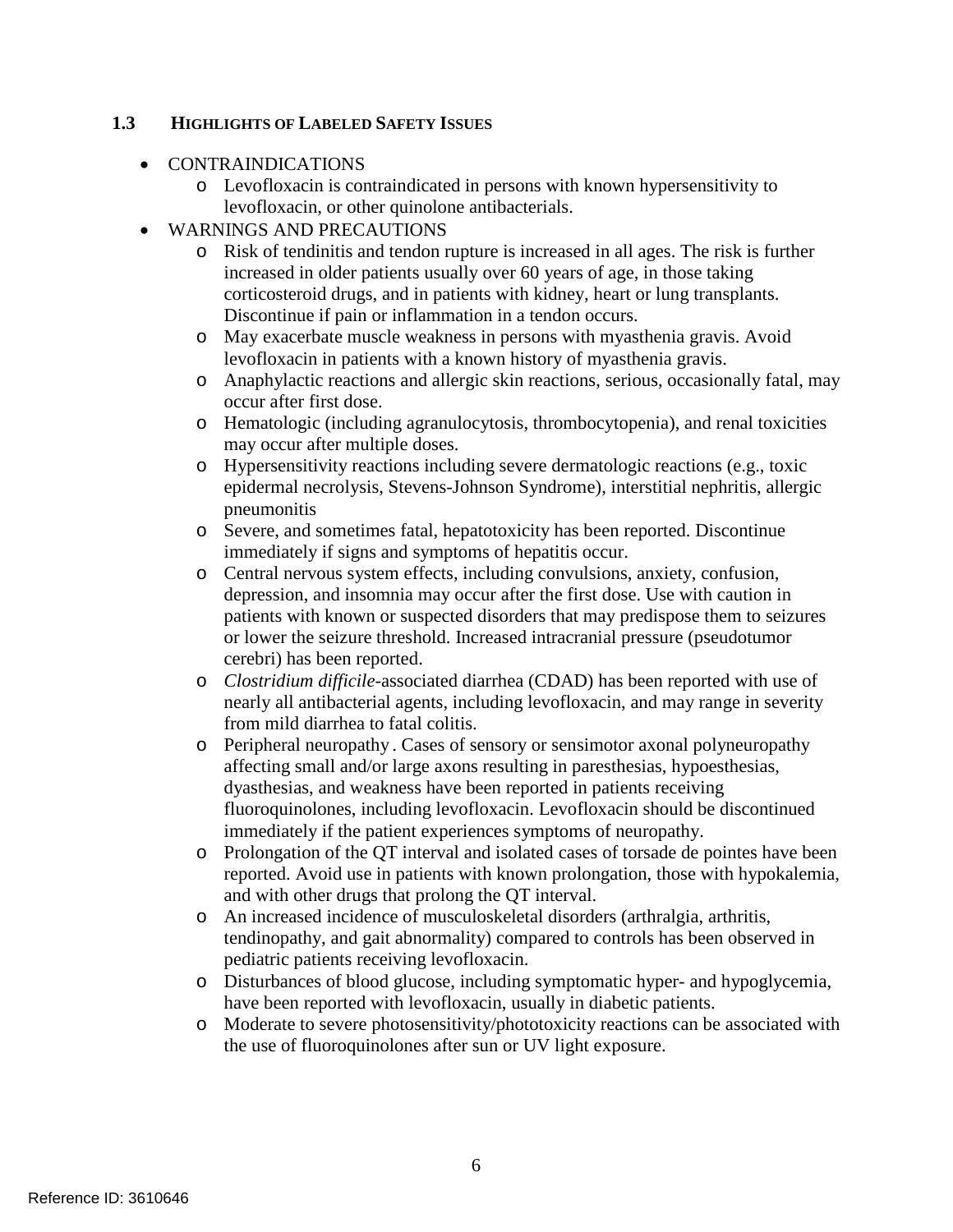# <span id="page-7-0"></span>**1.3 HIGHLIGHTS OF LABELED SAFETY ISSUES**

- CONTRAINDICATIONS
	- o Levofloxacin is contraindicated in persons with known hypersensitivity to levofloxacin, or other quinolone antibacterials.
- WARNINGS AND PRECAUTIONS
	- o Risk of tendinitis and tendon rupture is increased in all ages. The risk is further increased in older patients usually over 60 years of age, in those taking corticosteroid drugs, and in patients with kidney, heart or lung transplants. Discontinue if pain or inflammation in a tendon occurs.
	- o May exacerbate muscle weakness in persons with myasthenia gravis. Avoid levofloxacin in patients with a known history of myasthenia gravis.
	- o Anaphylactic reactions and allergic skin reactions, serious, occasionally fatal, may occur after first dose.
	- o Hematologic (including agranulocytosis, thrombocytopenia), and renal toxicities may occur after multiple doses.
	- o Hypersensitivity reactions including severe dermatologic reactions (e.g., toxic epidermal necrolysis, Stevens-Johnson Syndrome), interstitial nephritis, allergic pneumonitis
	- o Severe, and sometimes fatal, hepatotoxicity has been reported. Discontinue immediately if signs and symptoms of hepatitis occur.
	- o Central nervous system effects, including convulsions, anxiety, confusion, depression, and insomnia may occur after the first dose. Use with caution in patients with known or suspected disorders that may predispose them to seizures or lower the seizure threshold. Increased intracranial pressure (pseudotumor cerebri) has been reported.
	- o *Clostridium difficile*-associated diarrhea (CDAD) has been reported with use of nearly all antibacterial agents, including levofloxacin, and may range in severity from mild diarrhea to fatal colitis.
	- o Peripheral neuropathy . Cases of sensory or sensimotor axonal polyneuropathy affecting small and/or large axons resulting in paresthesias, hypoesthesias, dyasthesias, and weakness have been reported in patients receiving fluoroquinolones, including levofloxacin. Levofloxacin should be discontinued immediately if the patient experiences symptoms of neuropathy.
	- o Prolongation of the QT interval and isolated cases of torsade de pointes have been reported. Avoid use in patients with known prolongation, those with hypokalemia, and with other drugs that prolong the QT interval.
	- o An increased incidence of musculoskeletal disorders (arthralgia, arthritis, tendinopathy, and gait abnormality) compared to controls has been observed in pediatric patients receiving levofloxacin.
	- o Disturbances of blood glucose, including symptomatic hyper- and hypoglycemia, have been reported with levofloxacin, usually in diabetic patients.
	- o Moderate to severe photosensitivity/phototoxicity reactions can be associated with the use of fluoroquinolones after sun or UV light exposure.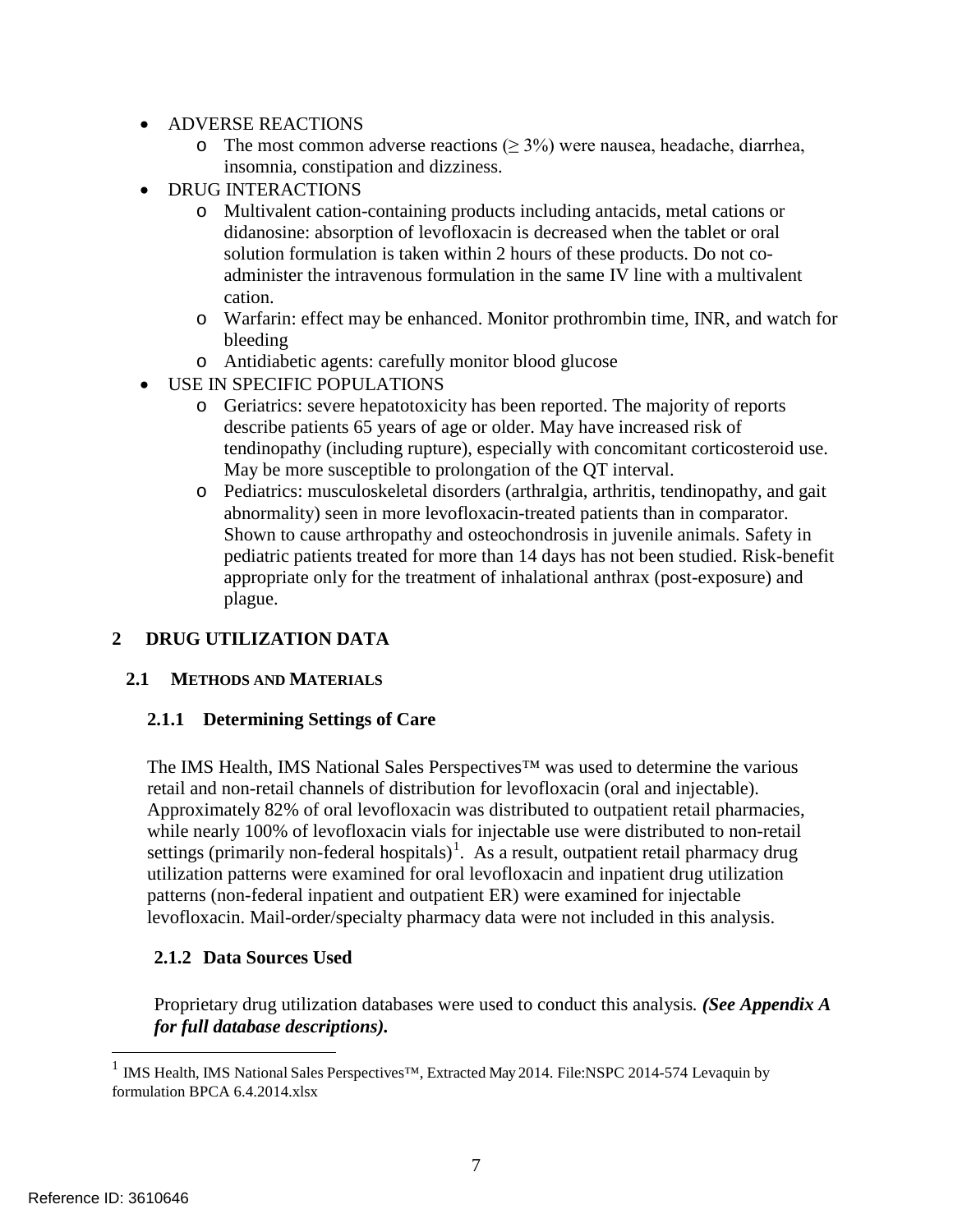- ADVERSE REACTIONS
	- o The most common adverse reactions ( $\geq$  3%) were nausea, headache, diarrhea, insomnia, constipation and dizziness.
- DRUG INTERACTIONS
	- o Multivalent cation-containing products including antacids, metal cations or didanosine: absorption of levofloxacin is decreased when the tablet or oral solution formulation is taken within 2 hours of these products. Do not coadminister the intravenous formulation in the same IV line with a multivalent cation.
	- o Warfarin: effect may be enhanced. Monitor prothrombin time, INR, and watch for bleeding
	- o Antidiabetic agents: carefully monitor blood glucose
- USE IN SPECIFIC POPULATIONS
	- o Geriatrics: severe hepatotoxicity has been reported. The majority of reports describe patients 65 years of age or older. May have increased risk of tendinopathy (including rupture), especially with concomitant corticosteroid use. May be more susceptible to prolongation of the QT interval.
	- o Pediatrics: musculoskeletal disorders (arthralgia, arthritis, tendinopathy, and gait abnormality) seen in more levofloxacin-treated patients than in comparator. Shown to cause arthropathy and osteochondrosis in juvenile animals. Safety in pediatric patients treated for more than 14 days has not been studied. Risk-benefit appropriate only for the treatment of inhalational anthrax (post-exposure) and plague.

# <span id="page-8-0"></span>**2 DRUG UTILIZATION DATA**

### <span id="page-8-1"></span>**2.1 METHODS AND MATERIALS**

### <span id="page-8-2"></span>**2.1.1 Determining Settings of Care**

The IMS Health, IMS National Sales Perspectives™ was used to determine the various retail and non-retail channels of distribution for levofloxacin (oral and injectable). Approximately 82% of oral levofloxacin was distributed to outpatient retail pharmacies, while nearly 100% of levofloxacin vials for injectable use were distributed to non-retail settings (primarily non-federal hospitals)<sup>[1](#page-8-4)</sup>. As a result, outpatient retail pharmacy drug utilization patterns were examined for oral levofloxacin and inpatient drug utilization patterns (non-federal inpatient and outpatient ER) were examined for injectable levofloxacin. Mail-order/specialty pharmacy data were not included in this analysis.

### <span id="page-8-3"></span>**2.1.2 Data Sources Used**

Proprietary drug utilization databases were used to conduct this analysis*. (See Appendix A for full database descriptions).*

<span id="page-8-4"></span> <sup>1</sup> IMS Health, IMS National Sales Perspectives™, Extracted May 2014. File:NSPC 2014-574 Levaquin by formulation BPCA 6.4.2014.xlsx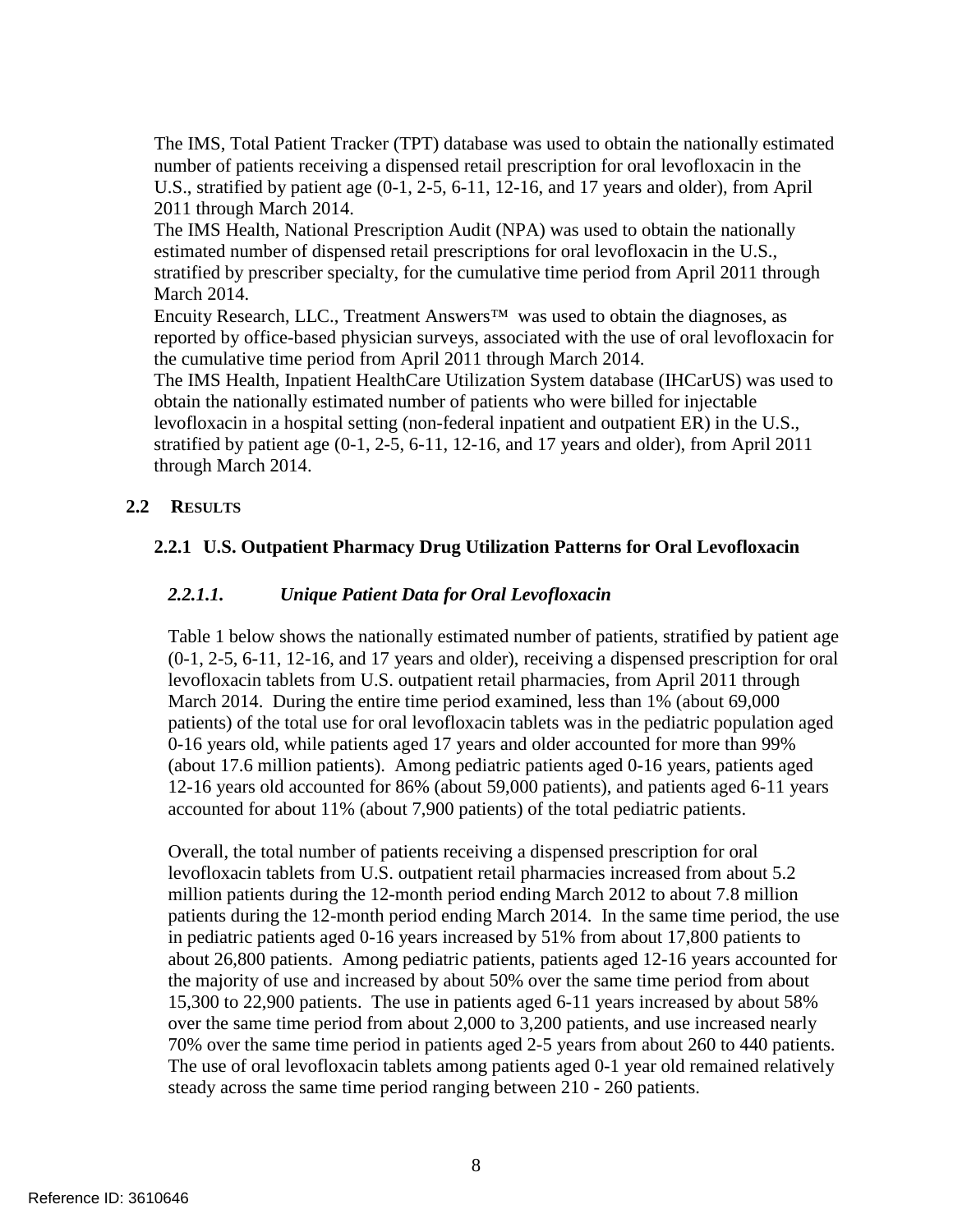The IMS, Total Patient Tracker (TPT) database was used to obtain the nationally estimated number of patients receiving a dispensed retail prescription for oral levofloxacin in the U.S., stratified by patient age (0-1, 2-5, 6-11, 12-16, and 17 years and older), from April 2011 through March 2014.

The IMS Health, National Prescription Audit (NPA) was used to obtain the nationally estimated number of dispensed retail prescriptions for oral levofloxacin in the U.S., stratified by prescriber specialty, for the cumulative time period from April 2011 through March 2014.

Encuity Research, LLC., Treatment Answers™ was used to obtain the diagnoses, as reported by office-based physician surveys, associated with the use of oral levofloxacin for the cumulative time period from April 2011 through March 2014.

The IMS Health, Inpatient HealthCare Utilization System database (IHCarUS) was used to obtain the nationally estimated number of patients who were billed for injectable levofloxacin in a hospital setting (non-federal inpatient and outpatient ER) in the U.S., stratified by patient age (0-1, 2-5, 6-11, 12-16, and 17 years and older), from April 2011 through March 2014.

# <span id="page-9-1"></span><span id="page-9-0"></span>**2.2 RESULTS**

# **2.2.1 U.S. Outpatient Pharmacy Drug Utilization Patterns for Oral Levofloxacin**

# *2.2.1.1. Unique Patient Data for Oral Levofloxacin*

Table 1 below shows the nationally estimated number of patients, stratified by patient age (0-1, 2-5, 6-11, 12-16, and 17 years and older), receiving a dispensed prescription for oral levofloxacin tablets from U.S. outpatient retail pharmacies, from April 2011 through March 2014. During the entire time period examined, less than 1% (about 69,000 patients) of the total use for oral levofloxacin tablets was in the pediatric population aged 0-16 years old, while patients aged 17 years and older accounted for more than 99% (about 17.6 million patients). Among pediatric patients aged 0-16 years, patients aged 12-16 years old accounted for 86% (about 59,000 patients), and patients aged 6-11 years accounted for about 11% (about 7,900 patients) of the total pediatric patients.

Overall, the total number of patients receiving a dispensed prescription for oral levofloxacin tablets from U.S. outpatient retail pharmacies increased from about 5.2 million patients during the 12-month period ending March 2012 to about 7.8 million patients during the 12-month period ending March 2014. In the same time period, the use in pediatric patients aged 0-16 years increased by 51% from about 17,800 patients to about 26,800 patients. Among pediatric patients, patients aged 12-16 years accounted for the majority of use and increased by about 50% over the same time period from about 15,300 to 22,900 patients. The use in patients aged 6-11 years increased by about 58% over the same time period from about 2,000 to 3,200 patients, and use increased nearly 70% over the same time period in patients aged 2-5 years from about 260 to 440 patients. The use of oral levofloxacin tablets among patients aged 0-1 year old remained relatively steady across the same time period ranging between 210 - 260 patients.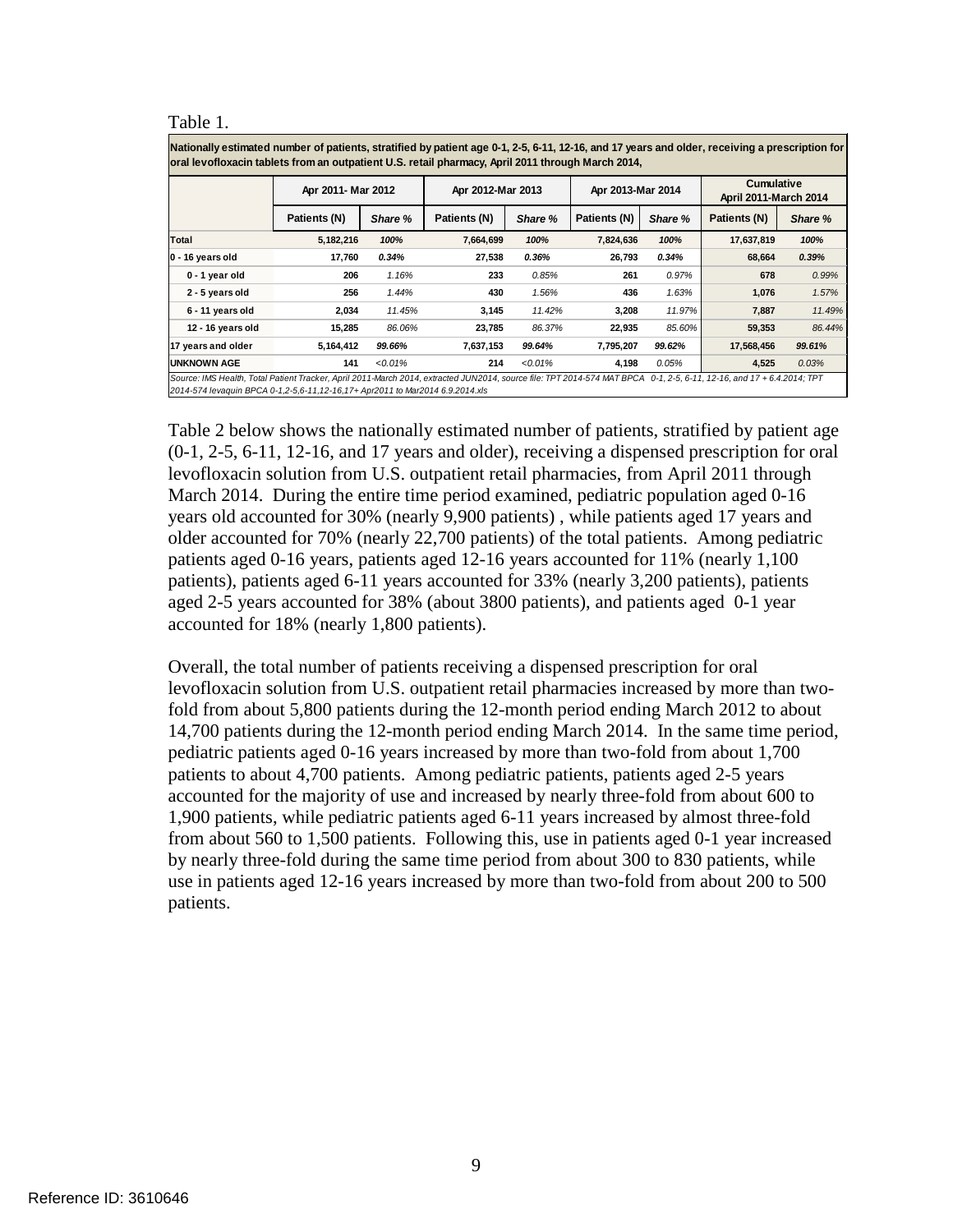Table 1.

**Apr 2011- Mar 2012 Apr 2012-Mar 2013 Apr 2013-Mar 2014 Cumulative Nationally estimated number of patients, stratified by patient age 0-1, 2-5, 6-11, 12-16, and 17 years and older, receiving a prescription for oral levofloxacin tablets from an outpatient U.S. retail pharmacy, April 2011 through March 2014,**

|                                                                                                                                                                                                                                                        | ADIZULI-MAIZULZ |            | ADIZ-MAIZ-WAI |            | ADIZUI-NICIZUI- |         | <b>April 2011-March 2014</b> |         |
|--------------------------------------------------------------------------------------------------------------------------------------------------------------------------------------------------------------------------------------------------------|-----------------|------------|---------------|------------|-----------------|---------|------------------------------|---------|
|                                                                                                                                                                                                                                                        | Patients (N)    | Share %    | Patients (N)  | Share %    | Patients (N)    | Share % | Patients (N)                 | Share % |
| Total                                                                                                                                                                                                                                                  | 5,182,216       | 100%       | 7,664,699     | 100%       | 7,824,636       | 100%    | 17,637,819                   | 100%    |
| 0 - 16 years old                                                                                                                                                                                                                                       | 17.760          | 0.34%      | 27.538        | 0.36%      | 26,793          | 0.34%   | 68,664                       | 0.39%   |
| 0 - 1 year old                                                                                                                                                                                                                                         | 206             | 1.16%      | 233           | 0.85%      | 261             | 0.97%   | 678                          | 0.99%   |
| 2 - 5 years old                                                                                                                                                                                                                                        | 256             | 1.44%      | 430           | 1.56%      | 436             | 1.63%   | 1,076                        | 1.57%   |
| 6 - 11 years old                                                                                                                                                                                                                                       | 2,034           | 11.45%     | 3,145         | 11.42%     | 3,208           | 11.97%  | 7,887                        | 11.49%  |
| 12 - 16 years old                                                                                                                                                                                                                                      | 15.285          | 86.06%     | 23.785        | 86.37%     | 22,935          | 85.60%  | 59,353                       | 86.44%  |
| 17 years and older                                                                                                                                                                                                                                     | 5,164,412       | 99.66%     | 7,637,153     | 99.64%     | 7,795,207       | 99.62%  | 17,568,456                   | 99.61%  |
| <b>UNKNOWN AGE</b>                                                                                                                                                                                                                                     | 141             | $< 0.01\%$ | 214           | $< 0.01\%$ | 4.198           | 0.05%   | 4,525                        | 0.03%   |
| Source: IMS Health, Total Patient Tracker, April 2011-March 2014, extracted JUN2014, source file: TPT 2014-574 MAT BPCA 0-1, 2-5, 6-11, 12-16, and 17 + 6.4.2014; TPT<br>2014-574 levaguin BPCA 0-1.2-5.6-11.12-16.17+ Apr2011 to Mar2014 6.9.2014.xls |                 |            |               |            |                 |         |                              |         |

Table 2 below shows the nationally estimated number of patients, stratified by patient age (0-1, 2-5, 6-11, 12-16, and 17 years and older), receiving a dispensed prescription for oral levofloxacin solution from U.S. outpatient retail pharmacies, from April 2011 through March 2014. During the entire time period examined, pediatric population aged 0-16 years old accounted for 30% (nearly 9,900 patients) , while patients aged 17 years and older accounted for 70% (nearly 22,700 patients) of the total patients. Among pediatric patients aged 0-16 years, patients aged 12-16 years accounted for 11% (nearly 1,100 patients), patients aged 6-11 years accounted for 33% (nearly 3,200 patients), patients aged 2-5 years accounted for 38% (about 3800 patients), and patients aged 0-1 year accounted for 18% (nearly 1,800 patients).

Overall, the total number of patients receiving a dispensed prescription for oral levofloxacin solution from U.S. outpatient retail pharmacies increased by more than twofold from about 5,800 patients during the 12-month period ending March 2012 to about 14,700 patients during the 12-month period ending March 2014. In the same time period, pediatric patients aged 0-16 years increased by more than two-fold from about 1,700 patients to about 4,700 patients. Among pediatric patients, patients aged 2-5 years accounted for the majority of use and increased by nearly three-fold from about 600 to 1,900 patients, while pediatric patients aged 6-11 years increased by almost three-fold from about 560 to 1,500 patients. Following this, use in patients aged 0-1 year increased by nearly three-fold during the same time period from about 300 to 830 patients, while use in patients aged 12-16 years increased by more than two-fold from about 200 to 500 patients.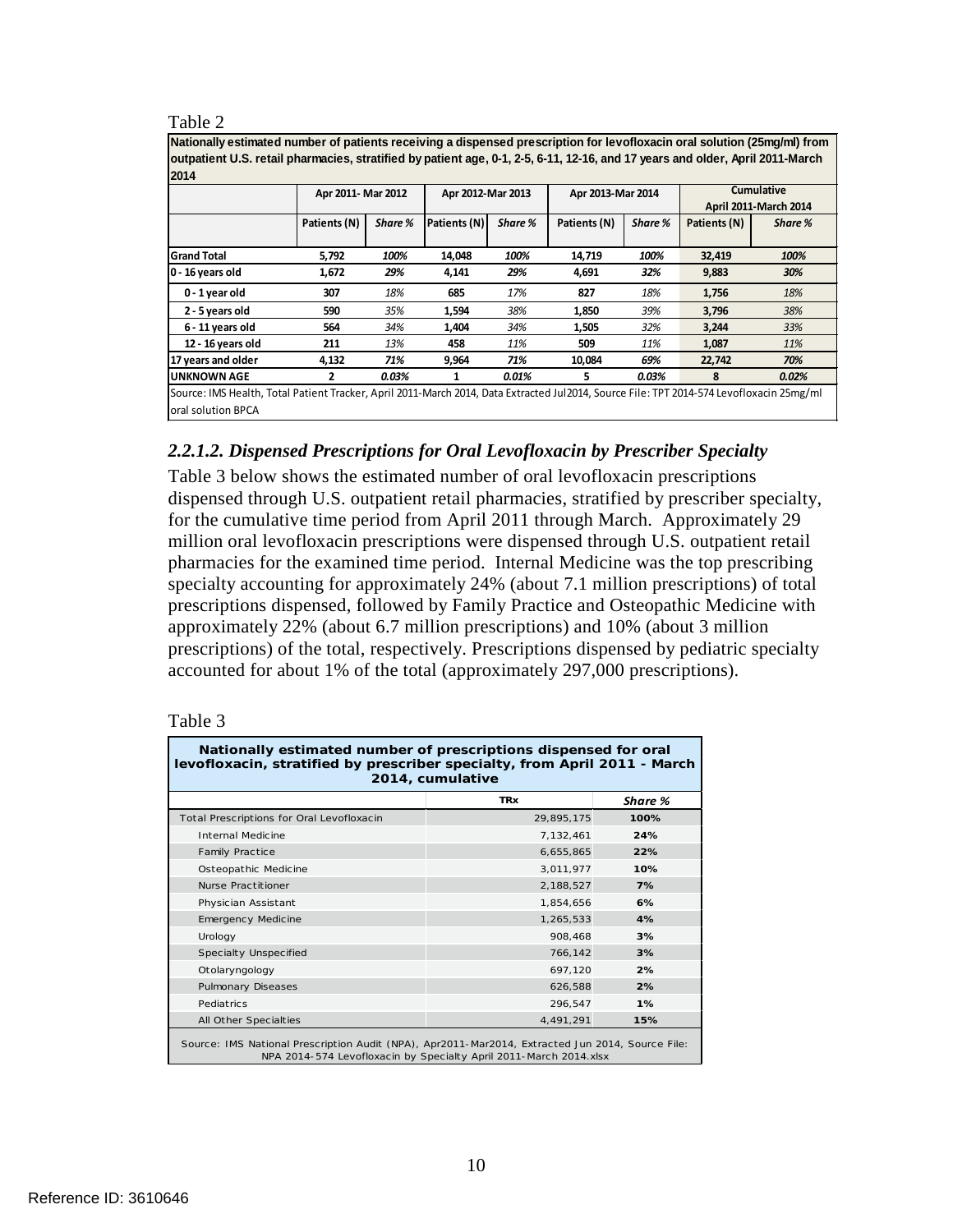#### Table 2

| Nationally estimated number of patients receiving a dispensed prescription for levofloxacin oral solution (25mg/ml) from<br>outpatient U.S. retail pharmacies, stratified by patient age, 0-1, 2-5, 6-11, 12-16, and 17 years and older, April 2011-March |                    |         |                   |         |                   |         |              |                       |  |
|-----------------------------------------------------------------------------------------------------------------------------------------------------------------------------------------------------------------------------------------------------------|--------------------|---------|-------------------|---------|-------------------|---------|--------------|-----------------------|--|
| 12014                                                                                                                                                                                                                                                     |                    |         |                   |         |                   |         |              |                       |  |
|                                                                                                                                                                                                                                                           | Apr 2011- Mar 2012 |         | Apr 2012-Mar 2013 |         | Apr 2013-Mar 2014 |         |              | <b>Cumulative</b>     |  |
|                                                                                                                                                                                                                                                           |                    |         |                   |         |                   |         |              | April 2011-March 2014 |  |
|                                                                                                                                                                                                                                                           | Patients (N)       | Share % | Patients (N)      | Share % | Patients (N)      | Share % | Patients (N) | Share %               |  |
|                                                                                                                                                                                                                                                           |                    |         |                   |         |                   |         |              |                       |  |
| <b>Grand Total</b>                                                                                                                                                                                                                                        | 5,792              | 100%    | 14,048            | 100%    | 14,719            | 100%    | 32,419       | 100%                  |  |
| 0 - 16 years old                                                                                                                                                                                                                                          | 1,672              | 29%     | 4,141             | 29%     | 4,691             | 32%     | 9,883        | 30%                   |  |
| 0 - 1 year old                                                                                                                                                                                                                                            | 307                | 18%     | 685               | 17%     | 827               | 18%     | 1,756        | 18%                   |  |
| 2 - 5 years old                                                                                                                                                                                                                                           | 590                | 35%     | 1,594             | 38%     | 1,850             | 39%     | 3,796        | 38%                   |  |
| 6 - 11 years old                                                                                                                                                                                                                                          | 564                | 34%     | 1,404             | 34%     | 1,505             | 32%     | 3,244        | 33%                   |  |
| 12 - 16 years old                                                                                                                                                                                                                                         | 211                | 13%     | 458               | 11%     | 509               | 11%     | 1,087        | 11%                   |  |
| 17 years and older                                                                                                                                                                                                                                        | 4,132              | 71%     | 9,964             | 71%     | 10,084            | 69%     | 22,742       | 70%                   |  |
| lunknown AGE                                                                                                                                                                                                                                              | 2                  | 0.03%   |                   | 0.01%   | 5.                | 0.03%   | 8            | 0.02%                 |  |
| lSource: IMS Health, Total Patient Tracker, April 2011-March 2014, Data Extracted Jul2014, Source File: TPT 2014-574 Levofloxacin 25mg/ml                                                                                                                 |                    |         |                   |         |                   |         |              |                       |  |
| loral solution BPCA                                                                                                                                                                                                                                       |                    |         |                   |         |                   |         |              |                       |  |

### <span id="page-11-0"></span>*2.2.1.2. Dispensed Prescriptions for Oral Levofloxacin by Prescriber Specialty*

Table 3 below shows the estimated number of oral levofloxacin prescriptions dispensed through U.S. outpatient retail pharmacies, stratified by prescriber specialty, for the cumulative time period from April 2011 through March. Approximately 29 million oral levofloxacin prescriptions were dispensed through U.S. outpatient retail pharmacies for the examined time period. Internal Medicine was the top prescribing specialty accounting for approximately 24% (about 7.1 million prescriptions) of total prescriptions dispensed, followed by Family Practice and Osteopathic Medicine with approximately 22% (about 6.7 million prescriptions) and 10% (about 3 million prescriptions) of the total, respectively. Prescriptions dispensed by pediatric specialty accounted for about 1% of the total (approximately 297,000 prescriptions).

#### Table 3

| Nationally estimated number of prescriptions dispensed for oral<br>levofloxacin, stratified by prescriber specialty, from April 2011 - March<br>2014, cumulative      |            |      |  |  |  |  |  |
|-----------------------------------------------------------------------------------------------------------------------------------------------------------------------|------------|------|--|--|--|--|--|
| <b>TRx</b><br>Share %                                                                                                                                                 |            |      |  |  |  |  |  |
| Total Prescriptions for Oral Levofloxacin                                                                                                                             | 29,895,175 | 100% |  |  |  |  |  |
| Internal Medicine                                                                                                                                                     | 7,132,461  | 24%  |  |  |  |  |  |
| <b>Family Practice</b>                                                                                                                                                | 6,655,865  | 22%  |  |  |  |  |  |
| Osteopathic Medicine                                                                                                                                                  | 3,011,977  | 10%  |  |  |  |  |  |
| Nurse Practitioner                                                                                                                                                    | 2,188,527  | 7%   |  |  |  |  |  |
| Physician Assistant                                                                                                                                                   | 1,854,656  | 6%   |  |  |  |  |  |
| Emergency Medicine                                                                                                                                                    | 1,265,533  | 4%   |  |  |  |  |  |
| Urology                                                                                                                                                               | 908,468    | 3%   |  |  |  |  |  |
| Specialty Unspecified                                                                                                                                                 | 766,142    | 3%   |  |  |  |  |  |
| Otolaryngology                                                                                                                                                        | 697,120    | 2%   |  |  |  |  |  |
| Pulmonary Diseases                                                                                                                                                    | 626,588    | 2%   |  |  |  |  |  |
| Pediatrics                                                                                                                                                            | 296,547    | 1%   |  |  |  |  |  |
| All Other Specialties                                                                                                                                                 | 4,491,291  | 15%  |  |  |  |  |  |
| Source: IMS National Prescription Audit (NPA), Apr2011-Mar2014, Extracted Jun 2014, Source File:<br>NPA 2014-574 Levofloxacin by Specialty April 2011-March 2014.xlsx |            |      |  |  |  |  |  |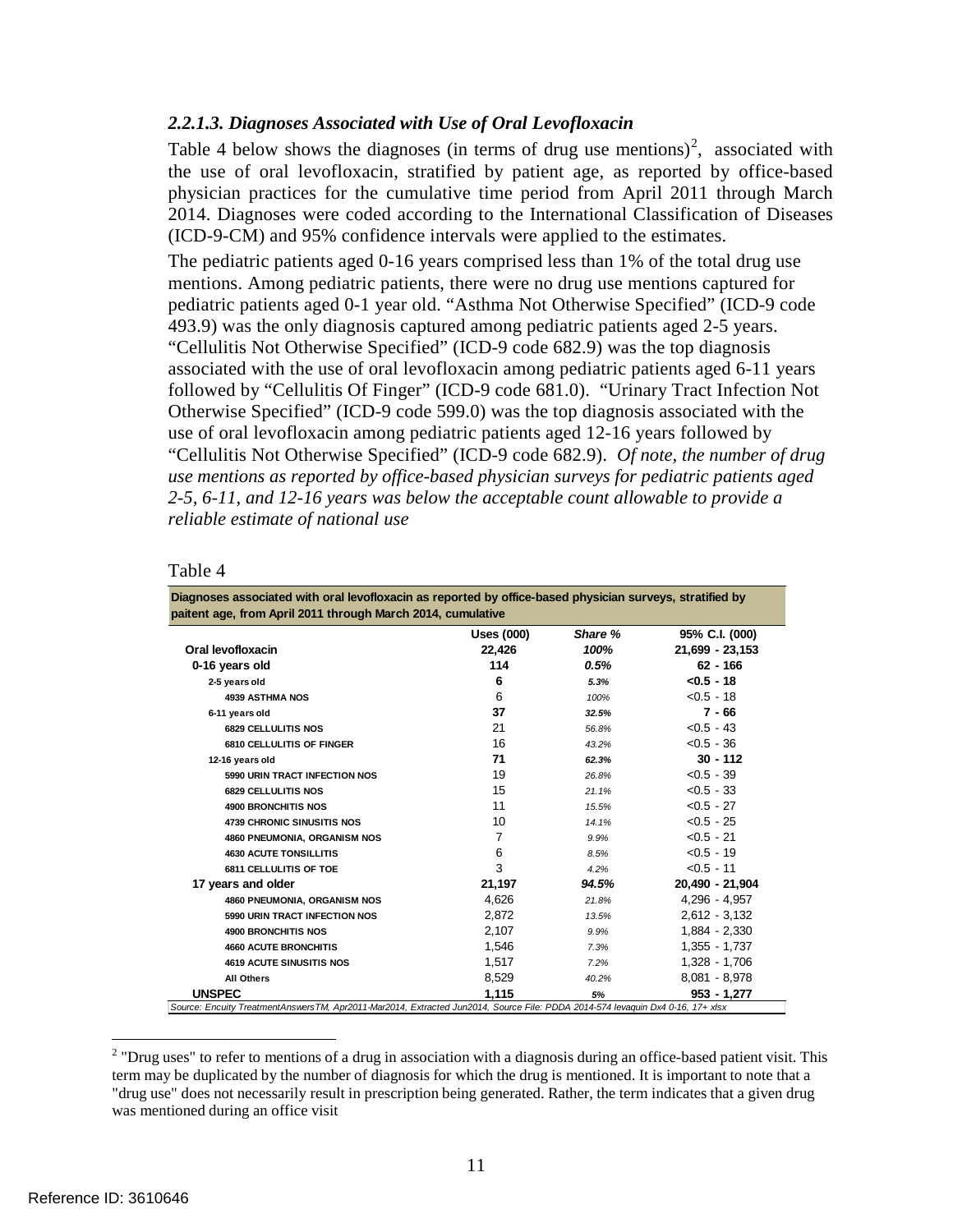### <span id="page-12-0"></span>*2.2.1.3. Diagnoses Associated with Use of Oral Levofloxacin*

Table 4 below shows the diagnoses (in terms of drug use mentions)<sup>[2](#page-12-1)</sup>, associated with the use of oral levofloxacin, stratified by patient age, as reported by office-based physician practices for the cumulative time period from April 2011 through March 2014. Diagnoses were coded according to the International Classification of Diseases (ICD-9-CM) and 95% confidence intervals were applied to the estimates.

The pediatric patients aged 0-16 years comprised less than 1% of the total drug use mentions. Among pediatric patients, there were no drug use mentions captured for pediatric patients aged 0-1 year old. "Asthma Not Otherwise Specified" (ICD-9 code 493.9) was the only diagnosis captured among pediatric patients aged 2-5 years. "Cellulitis Not Otherwise Specified" (ICD-9 code 682.9) was the top diagnosis associated with the use of oral levofloxacin among pediatric patients aged 6-11 years followed by "Cellulitis Of Finger" (ICD-9 code 681.0). "Urinary Tract Infection Not Otherwise Specified" (ICD-9 code 599.0) was the top diagnosis associated with the use of oral levofloxacin among pediatric patients aged 12-16 years followed by "Cellulitis Not Otherwise Specified" (ICD-9 code 682.9). *Of note, the number of drug use mentions as reported by office-based physician surveys for pediatric patients aged 2-5, 6-11, and 12-16 years was below the acceptable count allowable to provide a reliable estimate of national use*

| anie |  |
|------|--|
|------|--|

| Diagnoses associated with oral levofloxacin as reported by office-based physician surveys, stratified by<br>paitent age, from April 2011 through March 2014, cumulative |            |         |                 |  |  |
|-------------------------------------------------------------------------------------------------------------------------------------------------------------------------|------------|---------|-----------------|--|--|
|                                                                                                                                                                         | Uses (000) | Share % | 95% C.I. (000)  |  |  |
| Oral levofloxacin                                                                                                                                                       | 22,426     | 100%    | 21,699 - 23,153 |  |  |
| 0-16 years old                                                                                                                                                          | 114        | 0.5%    | $62 - 166$      |  |  |
| 2-5 years old                                                                                                                                                           | 6          | 5.3%    | $< 0.5 - 18$    |  |  |
| <b>4939 ASTHMA NOS</b>                                                                                                                                                  | 6          | 100%    | $< 0.5 - 18$    |  |  |
| 6-11 years old                                                                                                                                                          | 37         | 32.5%   | $7 - 66$        |  |  |
| <b>6829 CELLULITIS NOS</b>                                                                                                                                              | 21         | 56.8%   | $< 0.5 - 43$    |  |  |
| 6810 CELLULITIS OF FINGER                                                                                                                                               | 16         | 43.2%   | $< 0.5 - 36$    |  |  |
| 12-16 years old                                                                                                                                                         | 71         | 62.3%   | $30 - 112$      |  |  |
| 5990 URIN TRACT INFECTION NOS                                                                                                                                           | 19         | 26.8%   | $< 0.5 - 39$    |  |  |
| <b>6829 CELLULITIS NOS</b>                                                                                                                                              | 15         | 21.1%   | $< 0.5 - 33$    |  |  |
| <b>4900 BRONCHITIS NOS</b>                                                                                                                                              | 11         | 15.5%   | $< 0.5 - 27$    |  |  |
| <b>4739 CHRONIC SINUSITIS NOS</b>                                                                                                                                       | 10         | 14.1%   | $< 0.5 - 25$    |  |  |
| 4860 PNEUMONIA, ORGANISM NOS                                                                                                                                            | 7          | 9.9%    | $< 0.5 - 21$    |  |  |
| <b>4630 ACUTE TONSILLITIS</b>                                                                                                                                           | 6          | 8.5%    | $< 0.5 - 19$    |  |  |
| <b>6811 CELLULITIS OF TOE</b>                                                                                                                                           | 3          | 4.2%    | $< 0.5 - 11$    |  |  |
| 17 years and older                                                                                                                                                      | 21,197     | 94.5%   | 20,490 - 21,904 |  |  |
| 4860 PNEUMONIA, ORGANISM NOS                                                                                                                                            | 4,626      | 21.8%   | $4,296 - 4,957$ |  |  |
| 5990 URIN TRACT INFECTION NOS                                                                                                                                           | 2.872      | 13.5%   | $2.612 - 3.132$ |  |  |
| <b>4900 BRONCHITIS NOS</b>                                                                                                                                              | 2.107      | 9.9%    | $1.884 - 2.330$ |  |  |
| <b>4660 ACUTE BRONCHITIS</b>                                                                                                                                            | 1,546      | 7.3%    | 1,355 - 1,737   |  |  |
| <b>4619 ACUTE SINUSITIS NOS</b>                                                                                                                                         | 1,517      | 7.2%    | 1,328 - 1,706   |  |  |
| <b>All Others</b>                                                                                                                                                       | 8,529      | 40.2%   | $8,081 - 8,978$ |  |  |
| <b>UNSPEC</b>                                                                                                                                                           | 1.115      | 5%      | $953 - 1.277$   |  |  |

<span id="page-12-1"></span> $2$  "Drug uses" to refer to mentions of a drug in association with a diagnosis during an office-based patient visit. This term may be duplicated by the number of diagnosis for which the drug is mentioned. It is important to note that a "drug use" does not necessarily result in prescription being generated. Rather, the term indicates that a given drug was mentioned during an office visit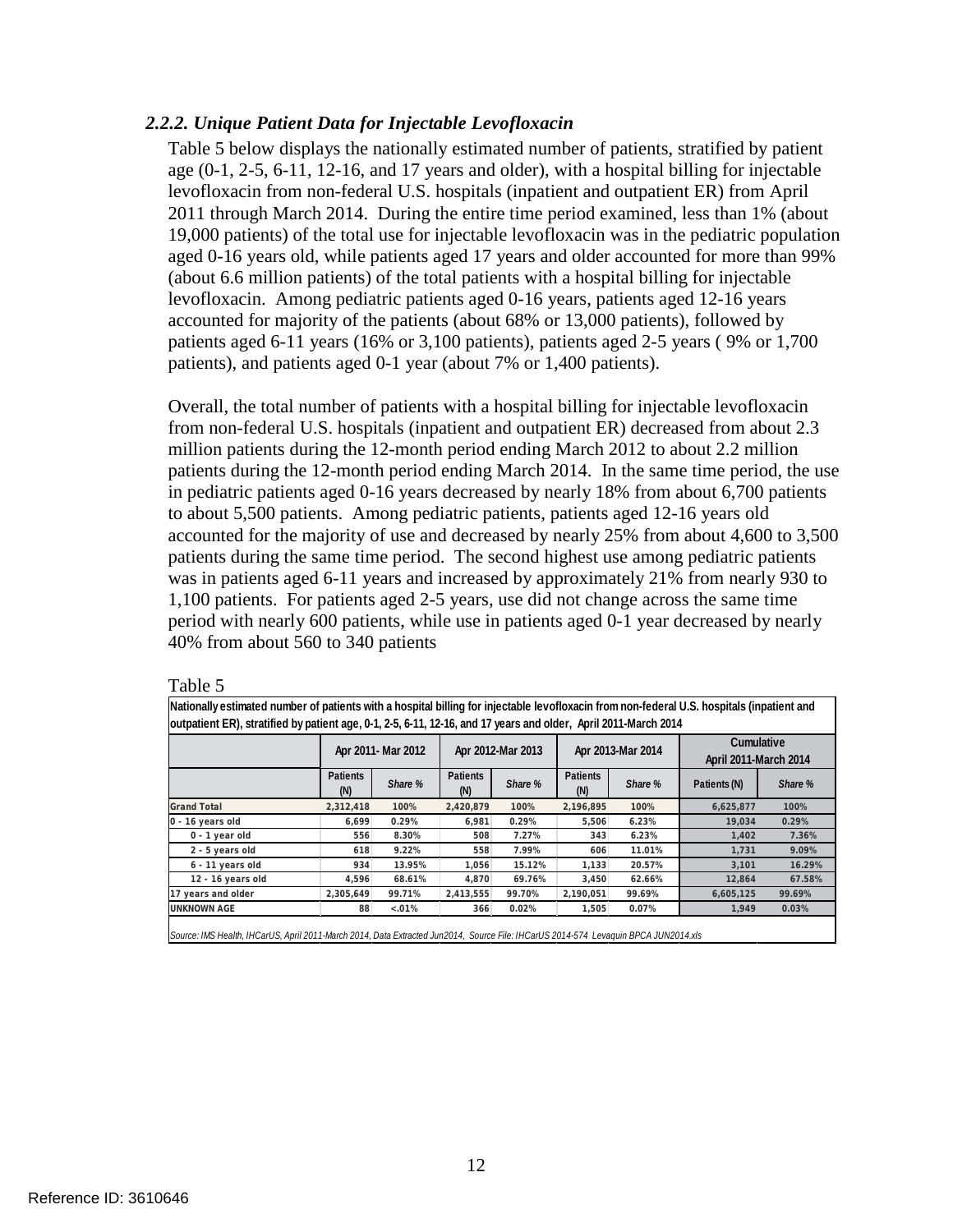### <span id="page-13-0"></span>*2.2.2. Unique Patient Data for Injectable Levofloxacin*

Table 5 below displays the nationally estimated number of patients, stratified by patient age (0-1, 2-5, 6-11, 12-16, and 17 years and older), with a hospital billing for injectable levofloxacin from non-federal U.S. hospitals (inpatient and outpatient ER) from April 2011 through March 2014. During the entire time period examined, less than 1% (about 19,000 patients) of the total use for injectable levofloxacin was in the pediatric population aged 0-16 years old, while patients aged 17 years and older accounted for more than 99% (about 6.6 million patients) of the total patients with a hospital billing for injectable levofloxacin. Among pediatric patients aged 0-16 years, patients aged 12-16 years accounted for majority of the patients (about 68% or 13,000 patients), followed by patients aged 6-11 years (16% or 3,100 patients), patients aged 2-5 years ( 9% or 1,700 patients), and patients aged 0-1 year (about 7% or 1,400 patients).

Overall, the total number of patients with a hospital billing for injectable levofloxacin from non-federal U.S. hospitals (inpatient and outpatient ER) decreased from about 2.3 million patients during the 12-month period ending March 2012 to about 2.2 million patients during the 12-month period ending March 2014. In the same time period, the use in pediatric patients aged 0-16 years decreased by nearly 18% from about 6,700 patients to about 5,500 patients. Among pediatric patients, patients aged 12-16 years old accounted for the majority of use and decreased by nearly 25% from about 4,600 to 3,500 patients during the same time period. The second highest use among pediatric patients was in patients aged 6-11 years and increased by approximately 21% from nearly 930 to 1,100 patients. For patients aged 2-5 years, use did not change across the same time period with nearly 600 patients, while use in patients aged 0-1 year decreased by nearly 40% from about 560 to 340 patients

Table 5

**Nationally estimated number of patients with a hospital billing for injectable levofloxacin from non-federal U.S. hospitals (inpatient and outpatient ER), stratified by patient age, 0-1, 2-5, 6-11, 12-16, and 17 years and older, April 2011-March 2014**

|                    |                        | Apr 2011- Mar 2012 |                        | Apr 2012-Mar 2013 |                        | Apr 2013-Mar 2014 | <b>Cumulative</b><br><b>April 2011-March 2014</b> |         |
|--------------------|------------------------|--------------------|------------------------|-------------------|------------------------|-------------------|---------------------------------------------------|---------|
|                    | <b>Patients</b><br>(N) | Share %            | <b>Patients</b><br>(N) | Share %           | <b>Patients</b><br>(N) | Share %           | Patients (N)                                      | Share % |
| <b>Grand Total</b> | 2,312,418              | 100%               | 2,420,879              | 100%              | 2,196,895              | 100%              | 6,625,877                                         | 100%    |
| 0 - 16 years old   | 6,699                  | 0.29%              | 6,981                  | 0.29%             | 5,506                  | 6.23%             | 19,034                                            | 0.29%   |
| 0 - 1 year old     | 556                    | 8.30%              | 508                    | 7.27%             | 343                    | 6.23%             | 1,402                                             | 7.36%   |
| 2 - 5 years old    | 618                    | 9.22%              | 558                    | 7.99%             | 606                    | 11.01%            | 1,731                                             | 9.09%   |
| 6 - 11 years old   | 934                    | 13.95%             | 1.056                  | 15.12%            | 1.133                  | 20.57%            | 3.101                                             | 16.29%  |
| 12 - 16 years old  | 4,596                  | 68.61%             | 4.870                  | 69.76%            | 3,450                  | 62.66%            | 12,864                                            | 67.58%  |
| 17 years and older | 2,305,649              | 99.71%             | 2,413,555              | 99.70%            | 2.190.051              | 99.69%            | 6,605,125                                         | 99.69%  |
| <b>UNKNOWN AGE</b> | 88                     | $0.01\%$           | 366                    | 0.02%             | 1,505                  | 0.07%             | 1,949                                             | 0.03%   |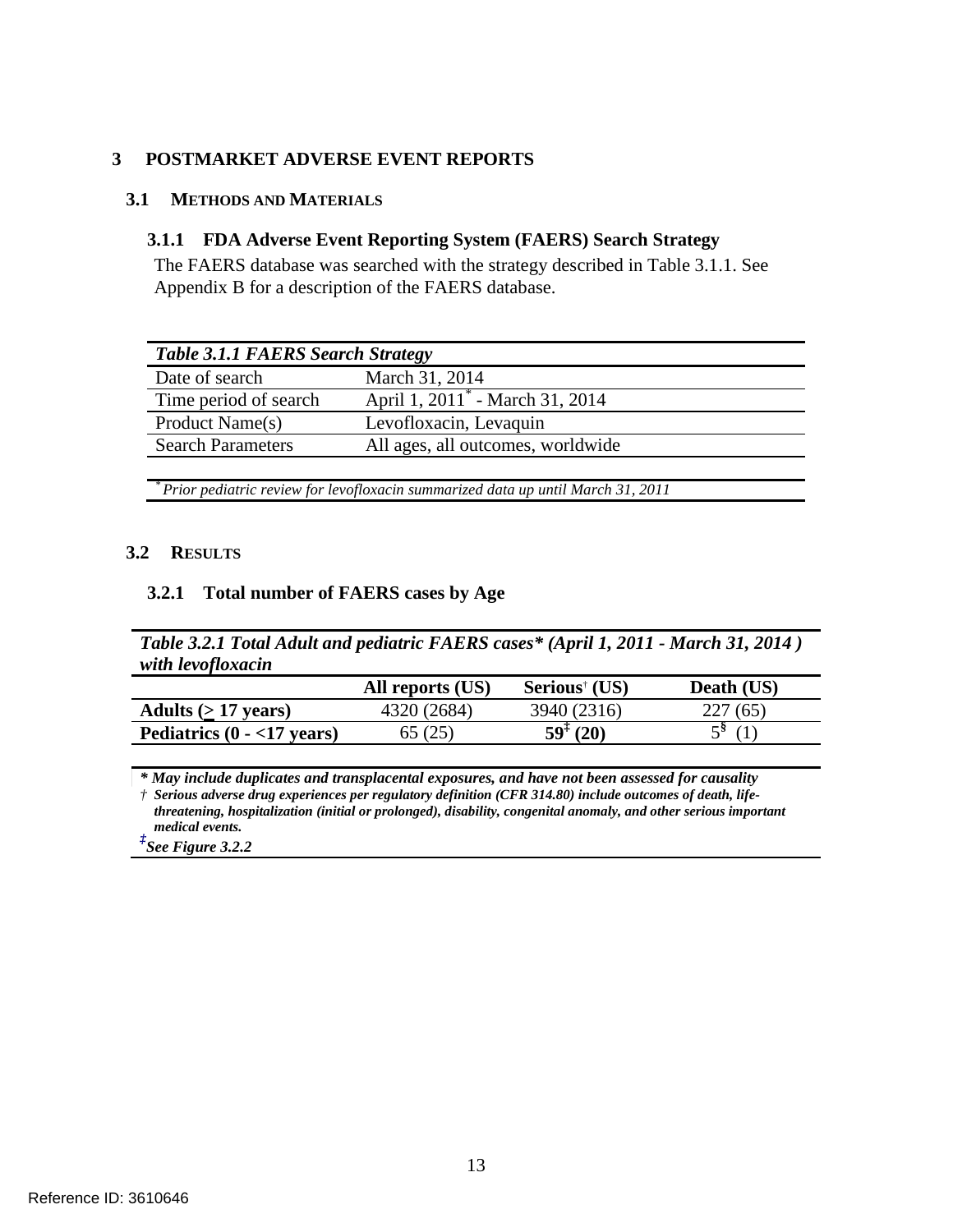### <span id="page-14-0"></span>**3 POSTMARKET ADVERSE EVENT REPORTS**

### <span id="page-14-1"></span>**3.1 METHODS AND MATERIALS**

### <span id="page-14-2"></span>**3.1.1 FDA Adverse Event Reporting System (FAERS) Search Strategy**

The FAERS database was searched with the strategy described in Table 3.1.1. See Appendix B for a description of the FAERS database.

| <b>Table 3.1.1 FAERS Search Strategy</b>    |  |  |  |  |
|---------------------------------------------|--|--|--|--|
| March 31, 2014                              |  |  |  |  |
| April 1, 2011 <sup>*</sup> - March 31, 2014 |  |  |  |  |
| Levofloxacin, Levaquin                      |  |  |  |  |
| All ages, all outcomes, worldwide           |  |  |  |  |
|                                             |  |  |  |  |

*\* Prior pediatric review for levofloxacin summarized data up until March 31, 2011*

### <span id="page-14-3"></span>**3.2 RESULTS**

### <span id="page-14-4"></span>**3.2.1 Total number of FAERS cases by Age**

*Table 3.2.1 Total Adult and pediatric FAERS cases\* (April 1, 2011 - March 31, 2014 ) with levofloxacin*

|                              | All reports (US) | Serious <sup>†</sup> (US) | Death (US) |
|------------------------------|------------------|---------------------------|------------|
| Adults $(>17 \text{ years})$ | 4320 (2684)      | 3940 (2316)               | 227(65)    |
| Pediatrics $(0 - 17$ years)  | 65 (25)          | $59^{\ddagger}$ (20)      | 58         |

*\* May include duplicates and transplacental exposures, and have not been assessed for causality † Serious adverse drug experiences per regulatory definition (CFR 314.80) include outcomes of death, life-*

*threatening, hospitalization (initial or prolonged), disability, congenital anomaly, and other serious important* 

*medical events. ‡ See Figure 3.2.2*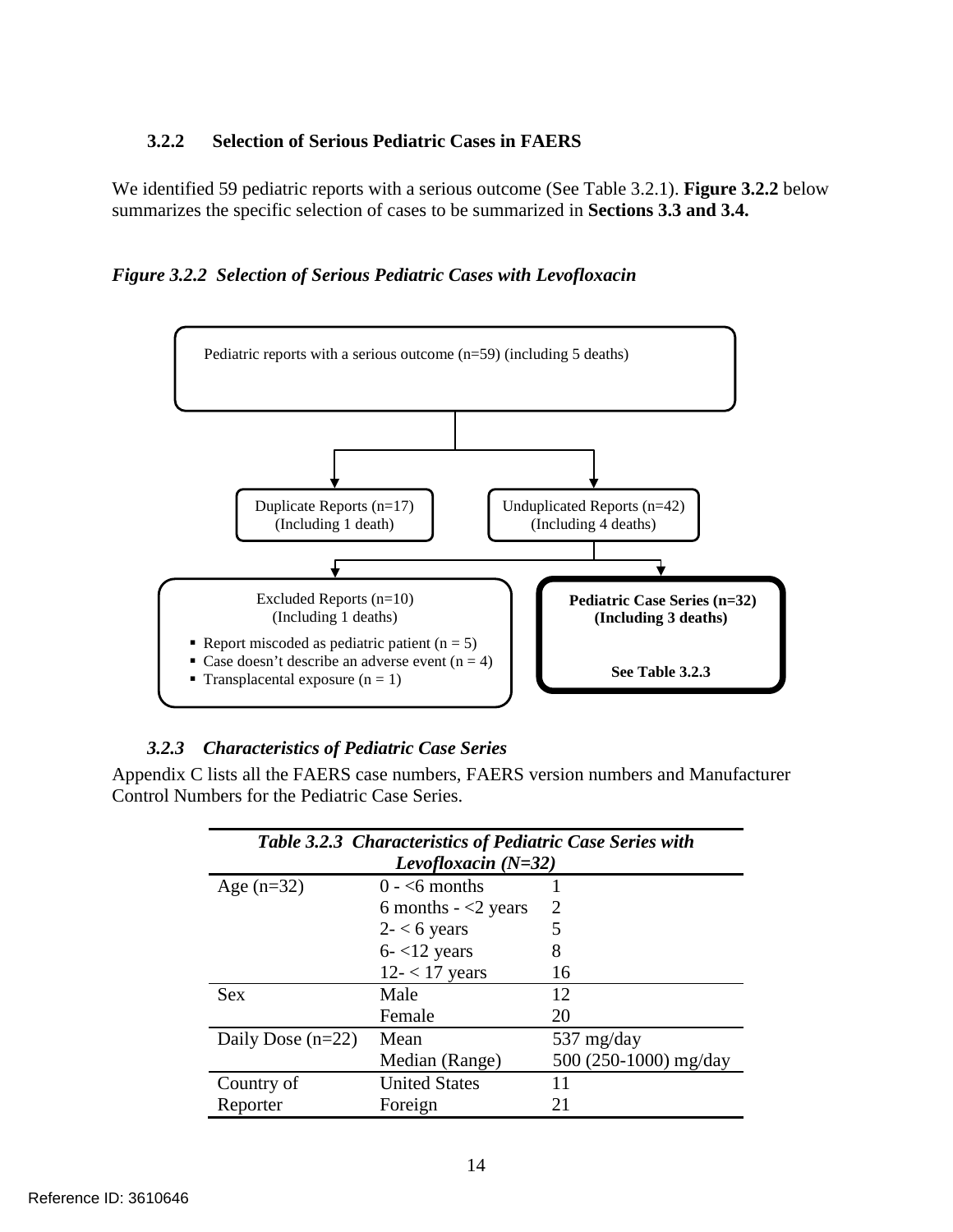# <span id="page-15-0"></span>**3.2.2 Selection of Serious Pediatric Cases in FAERS**

We identified 59 pediatric reports with a serious outcome (See Table 3.2.1). **Figure 3.2.2** below summarizes the specific selection of cases to be summarized in **Sections 3.3 and 3.4.**

*Figure 3.2.2 Selection of Serious Pediatric Cases with Levofloxacin*



### <span id="page-15-1"></span>*3.2.3 Characteristics of Pediatric Case Series*

Appendix C lists all the FAERS case numbers, FAERS version numbers and Manufacturer Control Numbers for the Pediatric Case Series.

| Table 3.2.3 Characteristics of Pediatric Case Series with |                       |                       |  |  |  |  |
|-----------------------------------------------------------|-----------------------|-----------------------|--|--|--|--|
| Levofloxacin $(N=32)$                                     |                       |                       |  |  |  |  |
| Age $(n=32)$                                              | $0 - 6$ months        |                       |  |  |  |  |
|                                                           | 6 months $-$ <2 years | 2                     |  |  |  |  |
|                                                           | $2 - 6$ years         | 5                     |  |  |  |  |
|                                                           | $6 - 12$ years        | 8                     |  |  |  |  |
|                                                           | $12 - 17$ years       | 16                    |  |  |  |  |
| <b>Sex</b>                                                | Male                  | 12                    |  |  |  |  |
|                                                           | Female                | 20                    |  |  |  |  |
| Daily Dose $(n=22)$                                       | Mean                  | 537 mg/day            |  |  |  |  |
|                                                           | Median (Range)        | 500 (250-1000) mg/day |  |  |  |  |
| Country of                                                | <b>United States</b>  | 11                    |  |  |  |  |
| Reporter                                                  | Foreign               | 21                    |  |  |  |  |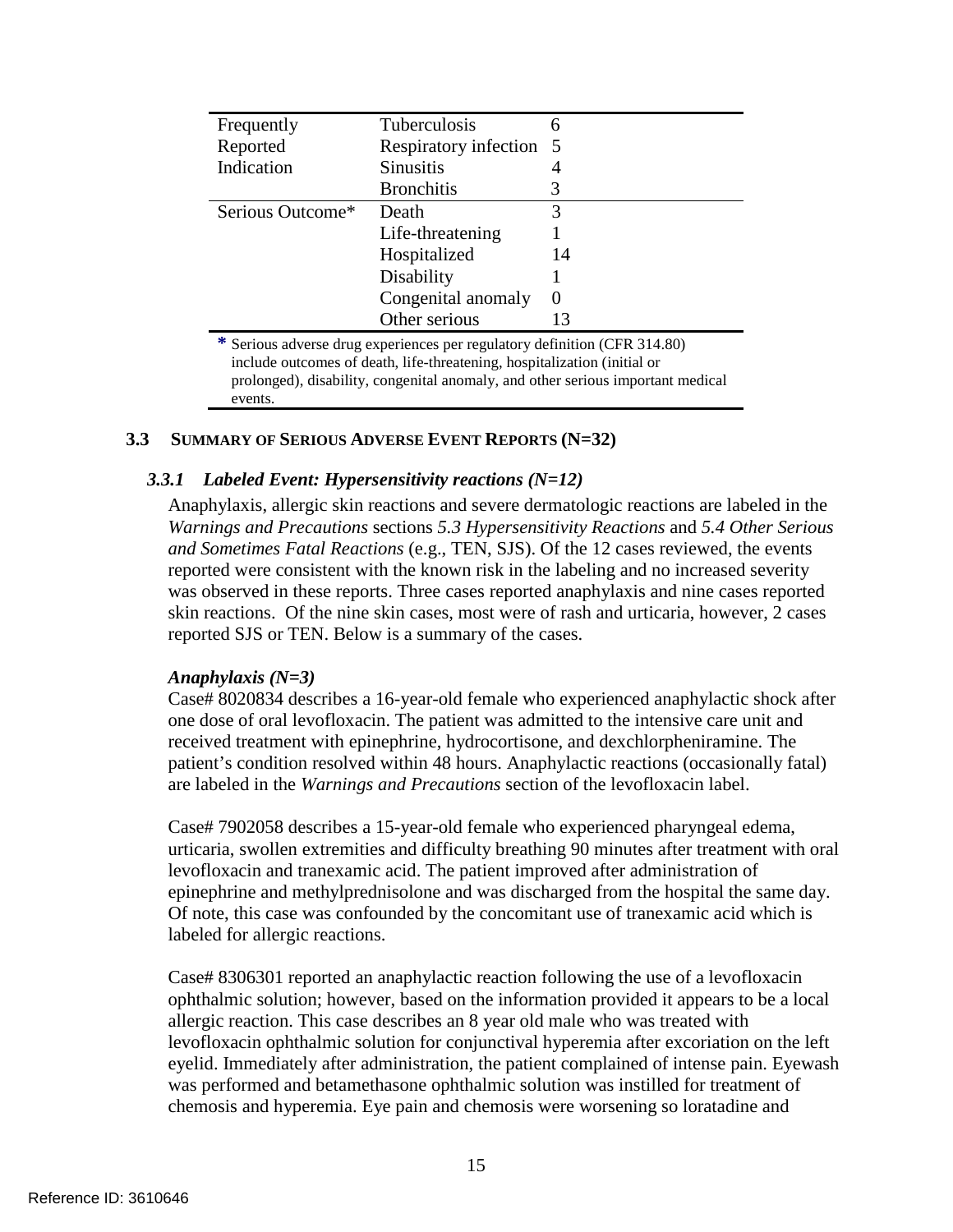| Frequently       | Tuberculosis            | h        |
|------------------|-------------------------|----------|
| Reported         | Respiratory infection 5 |          |
| Indication       | <b>Sinusitis</b>        | 4        |
|                  | <b>Bronchitis</b>       | 3        |
| Serious Outcome* | Death                   | 3        |
|                  | Life-threatening        |          |
|                  | Hospitalized            | 14       |
|                  | Disability              |          |
|                  | Congenital anomaly      | $\theta$ |
|                  | Other serious           | 13       |
|                  |                         |          |

**\*** Serious adverse drug experiences per regulatory definition (CFR 314.80) include outcomes of death, life-threatening, hospitalization (initial or prolonged), disability, congenital anomaly, and other serious important medical events.

#### <span id="page-16-0"></span>**3.3 SUMMARY OF SERIOUS ADVERSE EVENT REPORTS (N=32)**

#### <span id="page-16-1"></span>*3.3.1 Labeled Event: Hypersensitivity reactions (N=12)*

Anaphylaxis, allergic skin reactions and severe dermatologic reactions are labeled in the *Warnings and Precautions* sections *5.3 Hypersensitivity Reactions* and *5.4 Other Serious and Sometimes Fatal Reactions* (e.g., TEN, SJS). Of the 12 cases reviewed, the events reported were consistent with the known risk in the labeling and no increased severity was observed in these reports. Three cases reported anaphylaxis and nine cases reported skin reactions. Of the nine skin cases, most were of rash and urticaria, however, 2 cases reported SJS or TEN. Below is a summary of the cases.

#### *Anaphylaxis (N=3)*

Case# 8020834 describes a 16-year-old female who experienced anaphylactic shock after one dose of oral levofloxacin. The patient was admitted to the intensive care unit and received treatment with epinephrine, hydrocortisone, and dexchlorpheniramine. The patient's condition resolved within 48 hours. Anaphylactic reactions (occasionally fatal) are labeled in the *Warnings and Precautions* section of the levofloxacin label.

Case# 7902058 describes a 15-year-old female who experienced pharyngeal edema, urticaria, swollen extremities and difficulty breathing 90 minutes after treatment with oral levofloxacin and tranexamic acid. The patient improved after administration of epinephrine and methylprednisolone and was discharged from the hospital the same day. Of note, this case was confounded by the concomitant use of tranexamic acid which is labeled for allergic reactions.

Case# 8306301 reported an anaphylactic reaction following the use of a levofloxacin ophthalmic solution; however, based on the information provided it appears to be a local allergic reaction. This case describes an 8 year old male who was treated with levofloxacin ophthalmic solution for conjunctival hyperemia after excoriation on the left eyelid. Immediately after administration, the patient complained of intense pain. Eyewash was performed and betamethasone ophthalmic solution was instilled for treatment of chemosis and hyperemia. Eye pain and chemosis were worsening so loratadine and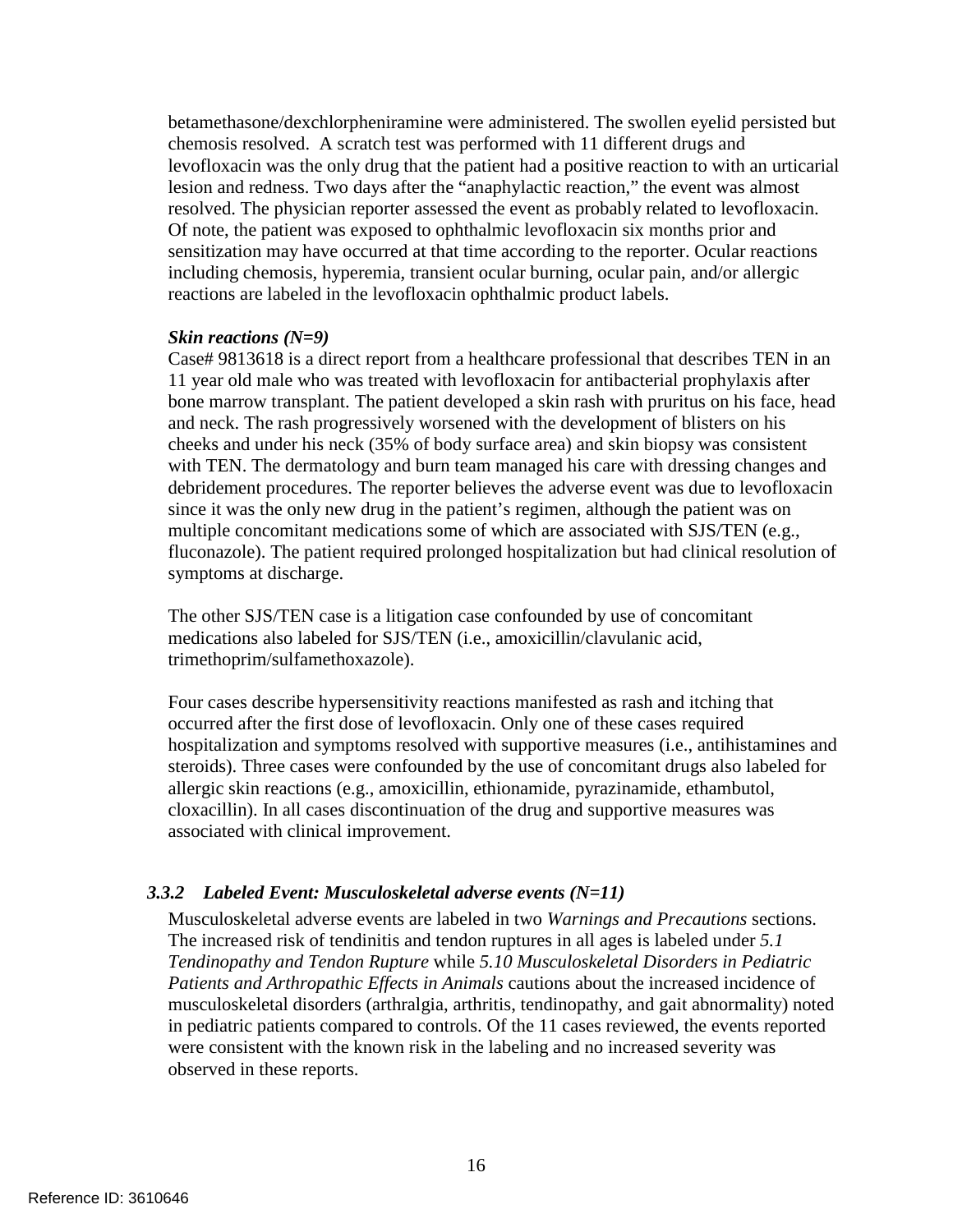betamethasone/dexchlorpheniramine were administered. The swollen eyelid persisted but chemosis resolved. A scratch test was performed with 11 different drugs and levofloxacin was the only drug that the patient had a positive reaction to with an urticarial lesion and redness. Two days after the "anaphylactic reaction," the event was almost resolved. The physician reporter assessed the event as probably related to levofloxacin. Of note, the patient was exposed to ophthalmic levofloxacin six months prior and sensitization may have occurred at that time according to the reporter. Ocular reactions including chemosis, hyperemia, transient ocular burning, ocular pain, and/or allergic reactions are labeled in the levofloxacin ophthalmic product labels.

#### *Skin reactions (N=9)*

Case# 9813618 is a direct report from a healthcare professional that describes TEN in an 11 year old male who was treated with levofloxacin for antibacterial prophylaxis after bone marrow transplant. The patient developed a skin rash with pruritus on his face, head and neck. The rash progressively worsened with the development of blisters on his cheeks and under his neck (35% of body surface area) and skin biopsy was consistent with TEN. The dermatology and burn team managed his care with dressing changes and debridement procedures. The reporter believes the adverse event was due to levofloxacin since it was the only new drug in the patient's regimen, although the patient was on multiple concomitant medications some of which are associated with SJS/TEN (e.g., fluconazole). The patient required prolonged hospitalization but had clinical resolution of symptoms at discharge.

The other SJS/TEN case is a litigation case confounded by use of concomitant medications also labeled for SJS/TEN (i.e., amoxicillin/clavulanic acid, trimethoprim/sulfamethoxazole).

Four cases describe hypersensitivity reactions manifested as rash and itching that occurred after the first dose of levofloxacin. Only one of these cases required hospitalization and symptoms resolved with supportive measures (i.e., antihistamines and steroids). Three cases were confounded by the use of concomitant drugs also labeled for allergic skin reactions (e.g., amoxicillin, ethionamide, pyrazinamide, ethambutol, cloxacillin). In all cases discontinuation of the drug and supportive measures was associated with clinical improvement.

### <span id="page-17-0"></span>*3.3.2 Labeled Event: Musculoskeletal adverse events (N=11)*

Musculoskeletal adverse events are labeled in two *Warnings and Precautions* sections. The increased risk of tendinitis and tendon ruptures in all ages is labeled under *5.1 Tendinopathy and Tendon Rupture* while *5.10 Musculoskeletal Disorders in Pediatric Patients and Arthropathic Effects in Animals* cautions about the increased incidence of musculoskeletal disorders (arthralgia, arthritis, tendinopathy, and gait abnormality) noted in pediatric patients compared to controls. Of the 11 cases reviewed, the events reported were consistent with the known risk in the labeling and no increased severity was observed in these reports.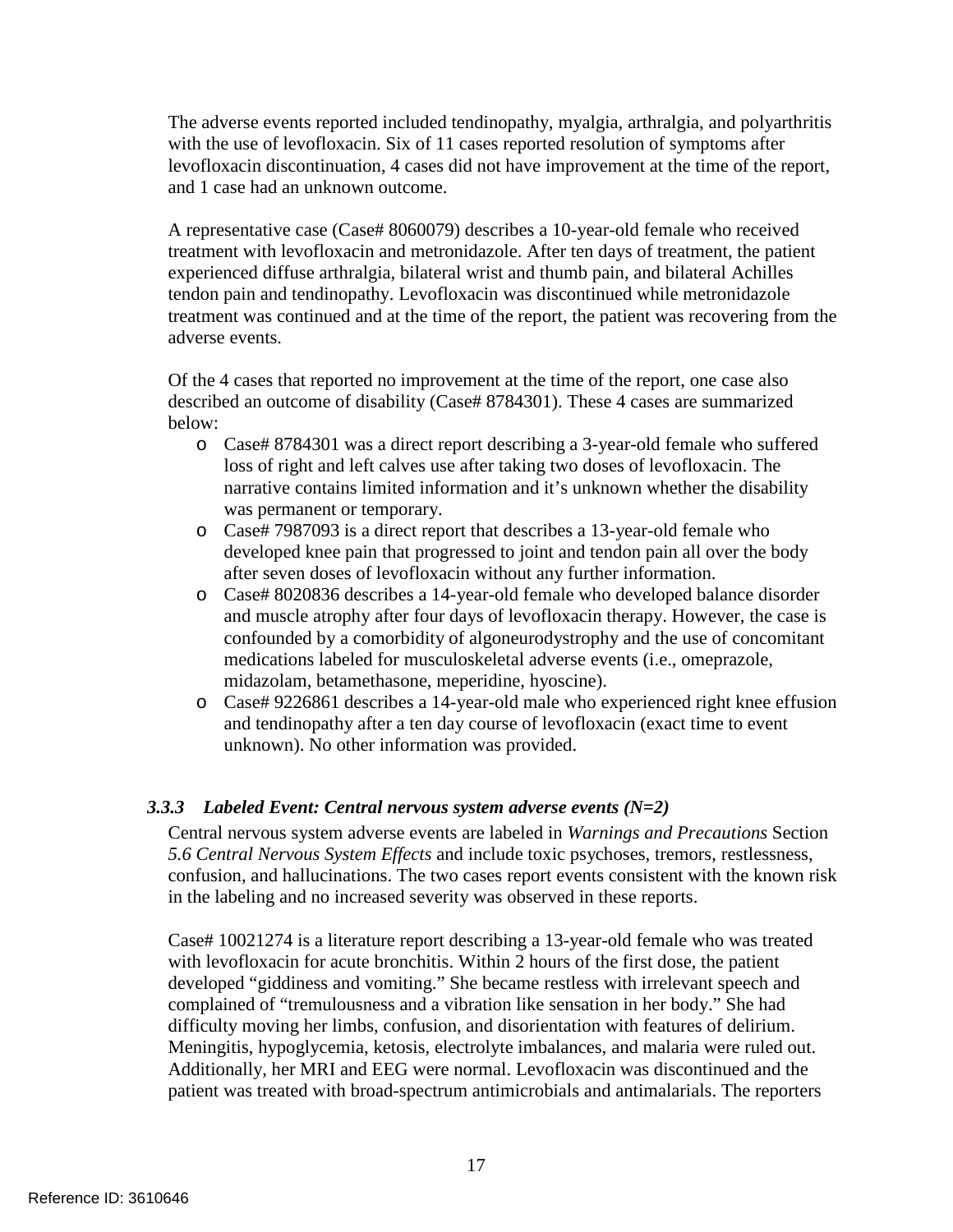The adverse events reported included tendinopathy, myalgia, arthralgia, and polyarthritis with the use of levofloxacin. Six of 11 cases reported resolution of symptoms after levofloxacin discontinuation, 4 cases did not have improvement at the time of the report, and 1 case had an unknown outcome.

A representative case (Case# 8060079) describes a 10-year-old female who received treatment with levofloxacin and metronidazole. After ten days of treatment, the patient experienced diffuse arthralgia, bilateral wrist and thumb pain, and bilateral Achilles tendon pain and tendinopathy. Levofloxacin was discontinued while metronidazole treatment was continued and at the time of the report, the patient was recovering from the adverse events.

Of the 4 cases that reported no improvement at the time of the report, one case also described an outcome of disability (Case# 8784301). These 4 cases are summarized below:

- o Case# 8784301 was a direct report describing a 3-year-old female who suffered loss of right and left calves use after taking two doses of levofloxacin. The narrative contains limited information and it's unknown whether the disability was permanent or temporary.
- o Case# 7987093 is a direct report that describes a 13-year-old female who developed knee pain that progressed to joint and tendon pain all over the body after seven doses of levofloxacin without any further information.
- o Case# 8020836 describes a 14-year-old female who developed balance disorder and muscle atrophy after four days of levofloxacin therapy. However, the case is confounded by a comorbidity of algoneurodystrophy and the use of concomitant medications labeled for musculoskeletal adverse events (i.e., omeprazole, midazolam, betamethasone, meperidine, hyoscine).
- o Case# 9226861 describes a 14-year-old male who experienced right knee effusion and tendinopathy after a ten day course of levofloxacin (exact time to event unknown). No other information was provided.

### <span id="page-18-0"></span>*3.3.3 Labeled Event: Central nervous system adverse events (N=2)*

Central nervous system adverse events are labeled in *Warnings and Precautions* Section *5.6 Central Nervous System Effects* and include toxic psychoses, tremors, restlessness, confusion, and hallucinations. The two cases report events consistent with the known risk in the labeling and no increased severity was observed in these reports.

Case# 10021274 is a literature report describing a 13-year-old female who was treated with levofloxacin for acute bronchitis. Within 2 hours of the first dose, the patient developed "giddiness and vomiting." She became restless with irrelevant speech and complained of "tremulousness and a vibration like sensation in her body." She had difficulty moving her limbs, confusion, and disorientation with features of delirium. Meningitis, hypoglycemia, ketosis, electrolyte imbalances, and malaria were ruled out. Additionally, her MRI and EEG were normal. Levofloxacin was discontinued and the patient was treated with broad-spectrum antimicrobials and antimalarials. The reporters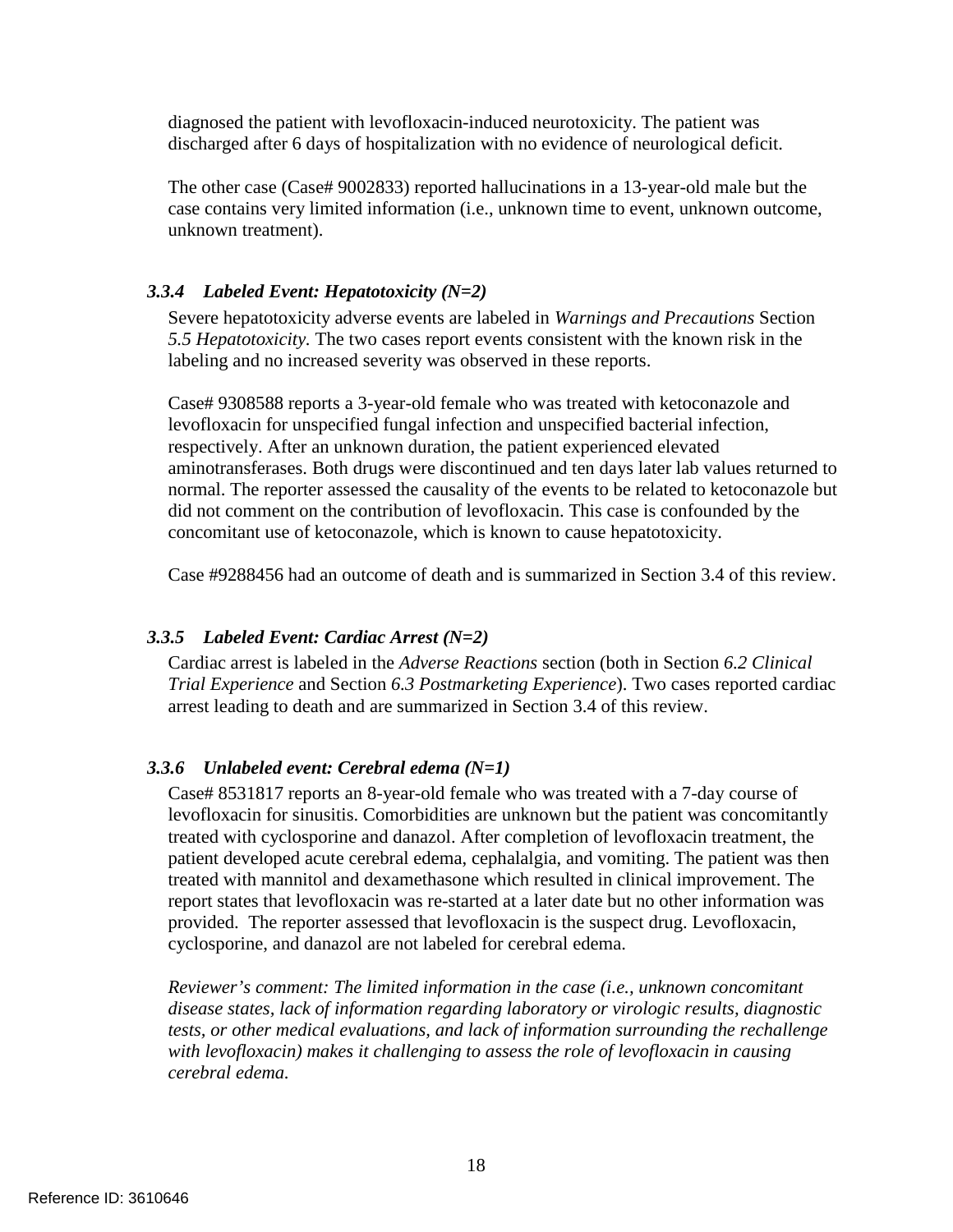diagnosed the patient with levofloxacin-induced neurotoxicity. The patient was discharged after 6 days of hospitalization with no evidence of neurological deficit.

The other case (Case# 9002833) reported hallucinations in a 13-year-old male but the case contains very limited information (i.e., unknown time to event, unknown outcome, unknown treatment).

# <span id="page-19-0"></span>*3.3.4 Labeled Event: Hepatotoxicity (N=2)*

Severe hepatotoxicity adverse events are labeled in *Warnings and Precautions* Section *5.5 Hepatotoxicity.* The two cases report events consistent with the known risk in the labeling and no increased severity was observed in these reports.

Case# 9308588 reports a 3-year-old female who was treated with ketoconazole and levofloxacin for unspecified fungal infection and unspecified bacterial infection, respectively. After an unknown duration, the patient experienced elevated aminotransferases. Both drugs were discontinued and ten days later lab values returned to normal. The reporter assessed the causality of the events to be related to ketoconazole but did not comment on the contribution of levofloxacin. This case is confounded by the concomitant use of ketoconazole, which is known to cause hepatotoxicity.

Case #9288456 had an outcome of death and is summarized in Section 3.4 of this review.

### <span id="page-19-1"></span>*3.3.5 Labeled Event: Cardiac Arrest (N=2)*

Cardiac arrest is labeled in the *Adverse Reactions* section (both in Section *6.2 Clinical Trial Experience* and Section *6.3 Postmarketing Experience*). Two cases reported cardiac arrest leading to death and are summarized in Section 3.4 of this review.

### <span id="page-19-2"></span>*3.3.6 Unlabeled event: Cerebral edema (N=1)*

Case# 8531817 reports an 8-year-old female who was treated with a 7-day course of levofloxacin for sinusitis. Comorbidities are unknown but the patient was concomitantly treated with cyclosporine and danazol. After completion of levofloxacin treatment, the patient developed acute cerebral edema, cephalalgia, and vomiting. The patient was then treated with mannitol and dexamethasone which resulted in clinical improvement. The report states that levofloxacin was re-started at a later date but no other information was provided. The reporter assessed that levofloxacin is the suspect drug. Levofloxacin, cyclosporine, and danazol are not labeled for cerebral edema.

*Reviewer's comment: The limited information in the case (i.e., unknown concomitant disease states, lack of information regarding laboratory or virologic results, diagnostic tests, or other medical evaluations, and lack of information surrounding the rechallenge with levofloxacin) makes it challenging to assess the role of levofloxacin in causing cerebral edema.*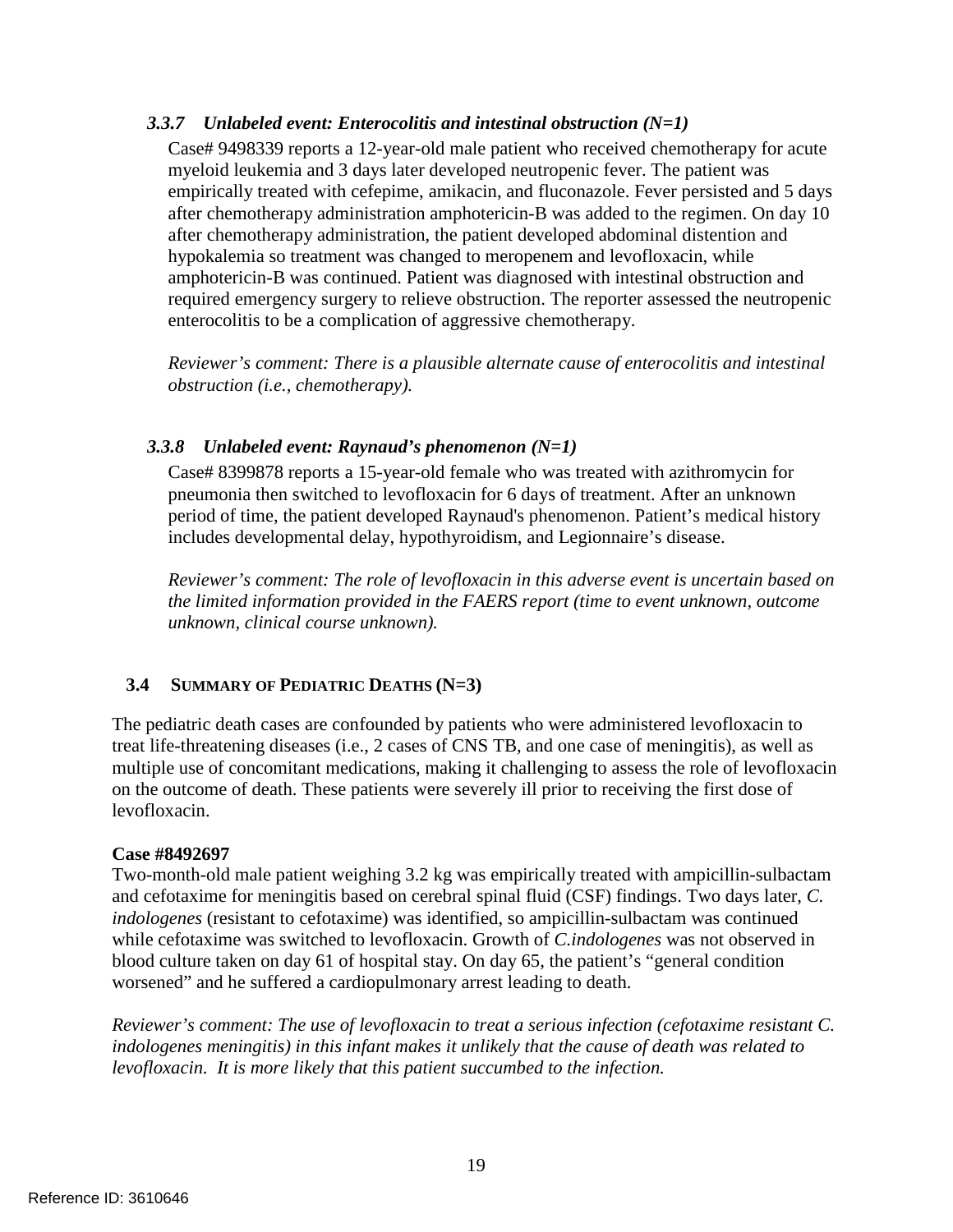# <span id="page-20-0"></span>*3.3.7 Unlabeled event: Enterocolitis and intestinal obstruction (N=1)*

Case# 9498339 reports a 12-year-old male patient who received chemotherapy for acute myeloid leukemia and 3 days later developed neutropenic fever. The patient was empirically treated with cefepime, amikacin, and fluconazole. Fever persisted and 5 days after chemotherapy administration amphotericin-B was added to the regimen. On day 10 after chemotherapy administration, the patient developed abdominal distention and hypokalemia so treatment was changed to meropenem and levofloxacin, while amphotericin-B was continued. Patient was diagnosed with intestinal obstruction and required emergency surgery to relieve obstruction. The reporter assessed the neutropenic enterocolitis to be a complication of aggressive chemotherapy.

*Reviewer's comment: There is a plausible alternate cause of enterocolitis and intestinal obstruction (i.e., chemotherapy).*

# <span id="page-20-1"></span>*3.3.8 Unlabeled event: Raynaud's phenomenon (N=1)*

Case# 8399878 reports a 15-year-old female who was treated with azithromycin for pneumonia then switched to levofloxacin for 6 days of treatment. After an unknown period of time, the patient developed Raynaud's phenomenon. Patient's medical history includes developmental delay, hypothyroidism, and Legionnaire's disease.

*Reviewer's comment: The role of levofloxacin in this adverse event is uncertain based on the limited information provided in the FAERS report (time to event unknown, outcome unknown, clinical course unknown).*

# <span id="page-20-2"></span>**3.4 SUMMARY OF PEDIATRIC DEATHS (N=3)**

The pediatric death cases are confounded by patients who were administered levofloxacin to treat life-threatening diseases (i.e., 2 cases of CNS TB, and one case of meningitis), as well as multiple use of concomitant medications, making it challenging to assess the role of levofloxacin on the outcome of death. These patients were severely ill prior to receiving the first dose of levofloxacin.

### **Case #8492697**

Two-month-old male patient weighing 3.2 kg was empirically treated with ampicillin-sulbactam and cefotaxime for meningitis based on cerebral spinal fluid (CSF) findings. Two days later, *C. indologenes* (resistant to cefotaxime) was identified, so ampicillin-sulbactam was continued while cefotaxime was switched to levofloxacin. Growth of *C.indologenes* was not observed in blood culture taken on day 61 of hospital stay. On day 65, the patient's "general condition worsened" and he suffered a cardiopulmonary arrest leading to death.

*Reviewer's comment: The use of levofloxacin to treat a serious infection (cefotaxime resistant C. indologenes meningitis) in this infant makes it unlikely that the cause of death was related to levofloxacin. It is more likely that this patient succumbed to the infection.*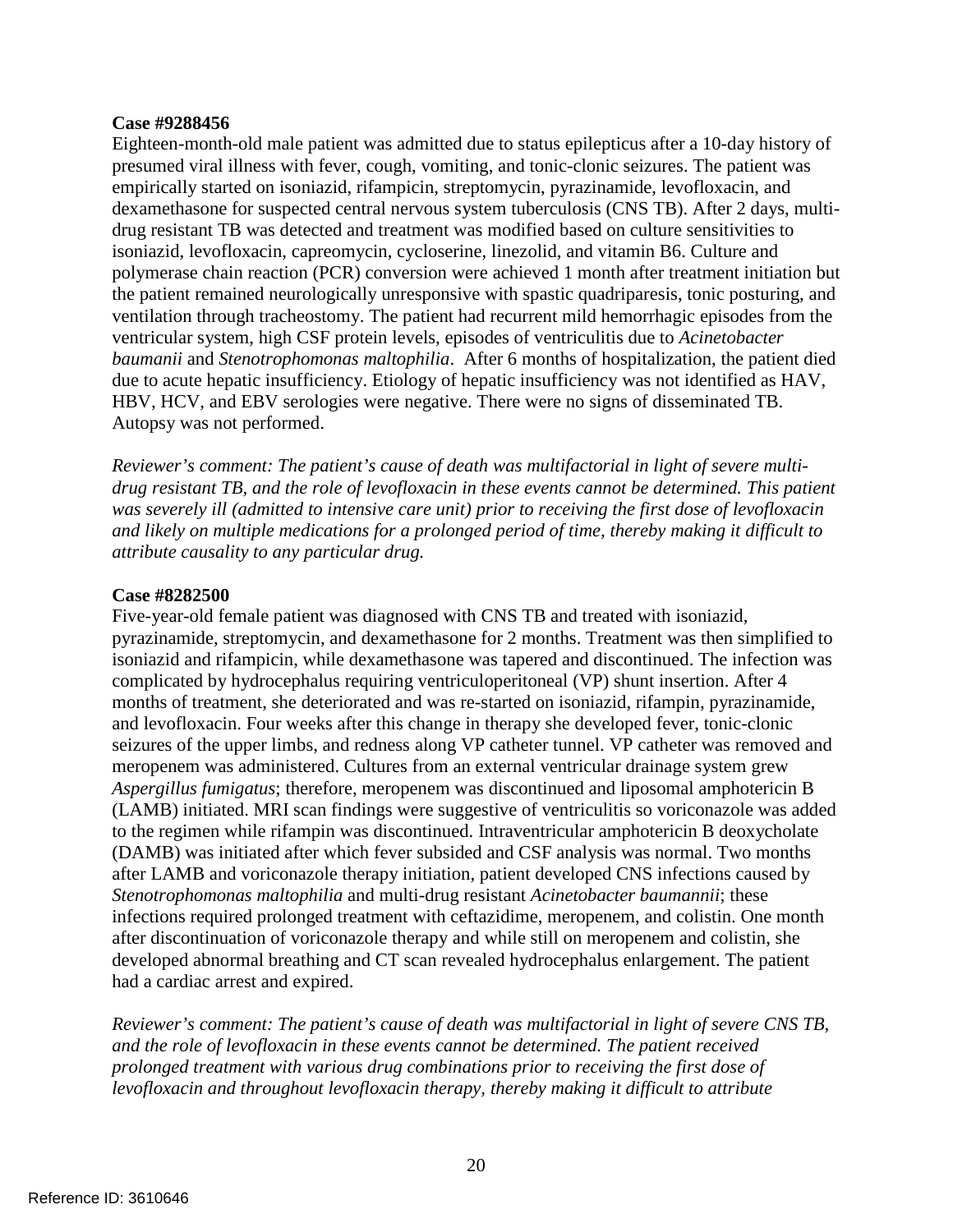#### **Case #9288456**

Eighteen-month-old male patient was admitted due to status epilepticus after a 10-day history of presumed viral illness with fever, cough, vomiting, and tonic-clonic seizures. The patient was empirically started on isoniazid, rifampicin, streptomycin, pyrazinamide, levofloxacin, and dexamethasone for suspected central nervous system tuberculosis (CNS TB). After 2 days, multidrug resistant TB was detected and treatment was modified based on culture sensitivities to isoniazid, levofloxacin, capreomycin, cycloserine, linezolid, and vitamin B6. Culture and polymerase chain reaction (PCR) conversion were achieved 1 month after treatment initiation but the patient remained neurologically unresponsive with spastic quadriparesis, tonic posturing, and ventilation through tracheostomy. The patient had recurrent mild hemorrhagic episodes from the ventricular system, high CSF protein levels, episodes of ventriculitis due to *Acinetobacter baumanii* and *Stenotrophomonas maltophilia*. After 6 months of hospitalization, the patient died due to acute hepatic insufficiency. Etiology of hepatic insufficiency was not identified as HAV, HBV, HCV, and EBV serologies were negative. There were no signs of disseminated TB. Autopsy was not performed.

*Reviewer's comment: The patient's cause of death was multifactorial in light of severe multidrug resistant TB, and the role of levofloxacin in these events cannot be determined. This patient was severely ill (admitted to intensive care unit) prior to receiving the first dose of levofloxacin and likely on multiple medications for a prolonged period of time, thereby making it difficult to attribute causality to any particular drug.*

#### **Case #8282500**

Five-year-old female patient was diagnosed with CNS TB and treated with isoniazid, pyrazinamide, streptomycin, and dexamethasone for 2 months. Treatment was then simplified to isoniazid and rifampicin, while dexamethasone was tapered and discontinued. The infection was complicated by hydrocephalus requiring ventriculoperitoneal (VP) shunt insertion. After 4 months of treatment, she deteriorated and was re-started on isoniazid, rifampin, pyrazinamide, and levofloxacin. Four weeks after this change in therapy she developed fever, tonic-clonic seizures of the upper limbs, and redness along VP catheter tunnel. VP catheter was removed and meropenem was administered. Cultures from an external ventricular drainage system grew *Aspergillus fumigatus*; therefore, meropenem was discontinued and liposomal amphotericin B (LAMB) initiated. MRI scan findings were suggestive of ventriculitis so voriconazole was added to the regimen while rifampin was discontinued. Intraventricular amphotericin B deoxycholate (DAMB) was initiated after which fever subsided and CSF analysis was normal. Two months after LAMB and voriconazole therapy initiation, patient developed CNS infections caused by *Stenotrophomonas maltophilia* and multi-drug resistant *Acinetobacter baumannii*; these infections required prolonged treatment with ceftazidime, meropenem, and colistin. One month after discontinuation of voriconazole therapy and while still on meropenem and colistin, she developed abnormal breathing and CT scan revealed hydrocephalus enlargement. The patient had a cardiac arrest and expired.

*Reviewer's comment: The patient's cause of death was multifactorial in light of severe CNS TB, and the role of levofloxacin in these events cannot be determined. The patient received prolonged treatment with various drug combinations prior to receiving the first dose of levofloxacin and throughout levofloxacin therapy, thereby making it difficult to attribute*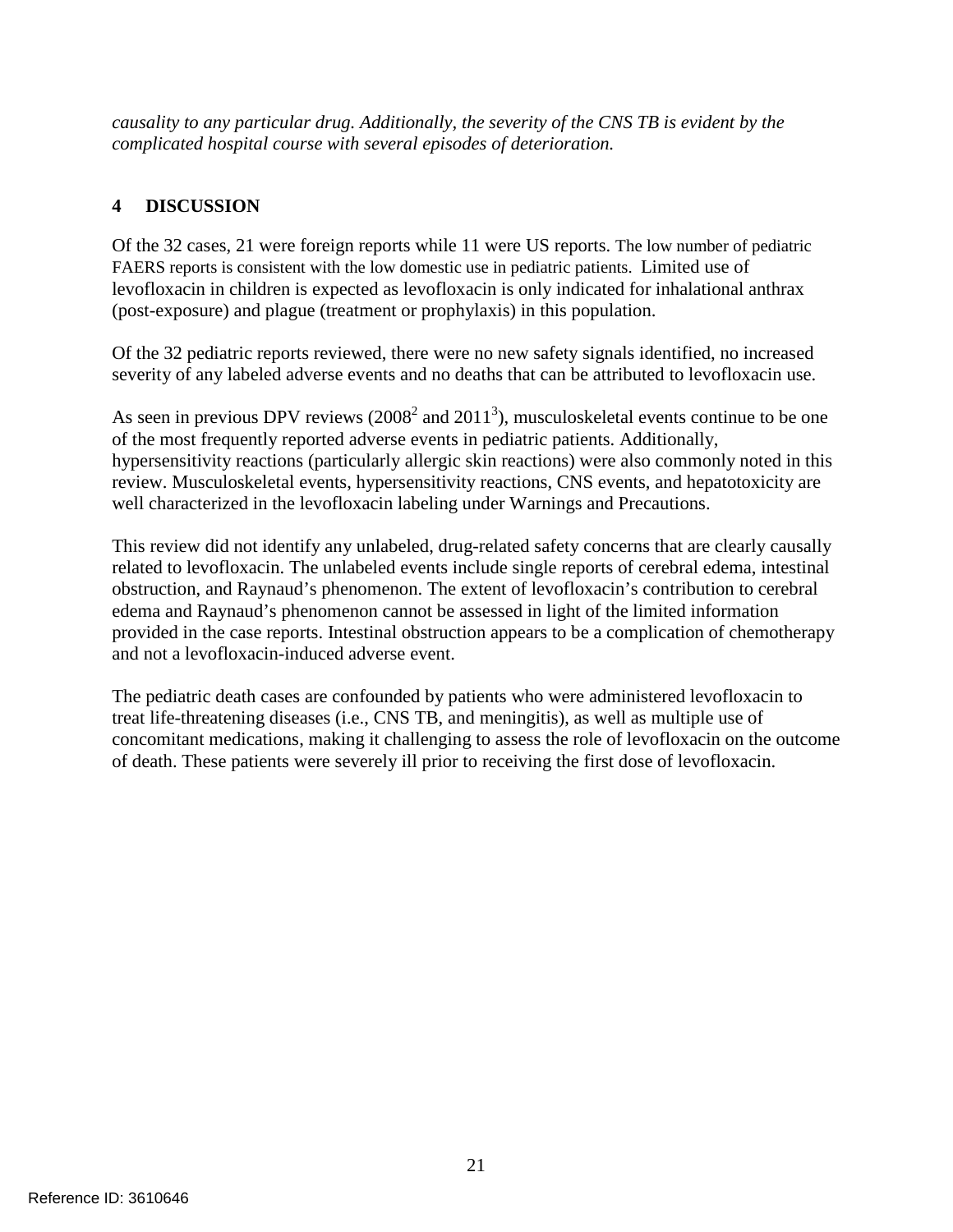*causality to any particular drug. Additionally, the severity of the CNS TB is evident by the complicated hospital course with several episodes of deterioration.* 

# <span id="page-22-0"></span>**4 DISCUSSION**

Of the 32 cases, 21 were foreign reports while 11 were US reports. The low number of pediatric FAERS reports is consistent with the low domestic use in pediatric patients. Limited use of levofloxacin in children is expected as levofloxacin is only indicated for inhalational anthrax (post-exposure) and plague (treatment or prophylaxis) in this population.

Of the 32 pediatric reports reviewed, there were no new safety signals identified, no increased severity of any labeled adverse events and no deaths that can be attributed to levofloxacin use.

As seen in previous DPV reviews  $(2008^2 \text{ and } 2011^3)$ , musculoskeletal events continue to be one of the most frequently reported adverse events in pediatric patients. Additionally, hypersensitivity reactions (particularly allergic skin reactions) were also commonly noted in this review. Musculoskeletal events, hypersensitivity reactions, CNS events, and hepatotoxicity are well characterized in the levofloxacin labeling under Warnings and Precautions.

This review did not identify any unlabeled, drug-related safety concerns that are clearly causally related to levofloxacin. The unlabeled events include single reports of cerebral edema, intestinal obstruction, and Raynaud's phenomenon. The extent of levofloxacin's contribution to cerebral edema and Raynaud's phenomenon cannot be assessed in light of the limited information provided in the case reports. Intestinal obstruction appears to be a complication of chemotherapy and not a levofloxacin-induced adverse event.

The pediatric death cases are confounded by patients who were administered levofloxacin to treat life-threatening diseases (i.e., CNS TB, and meningitis), as well as multiple use of concomitant medications, making it challenging to assess the role of levofloxacin on the outcome of death. These patients were severely ill prior to receiving the first dose of levofloxacin.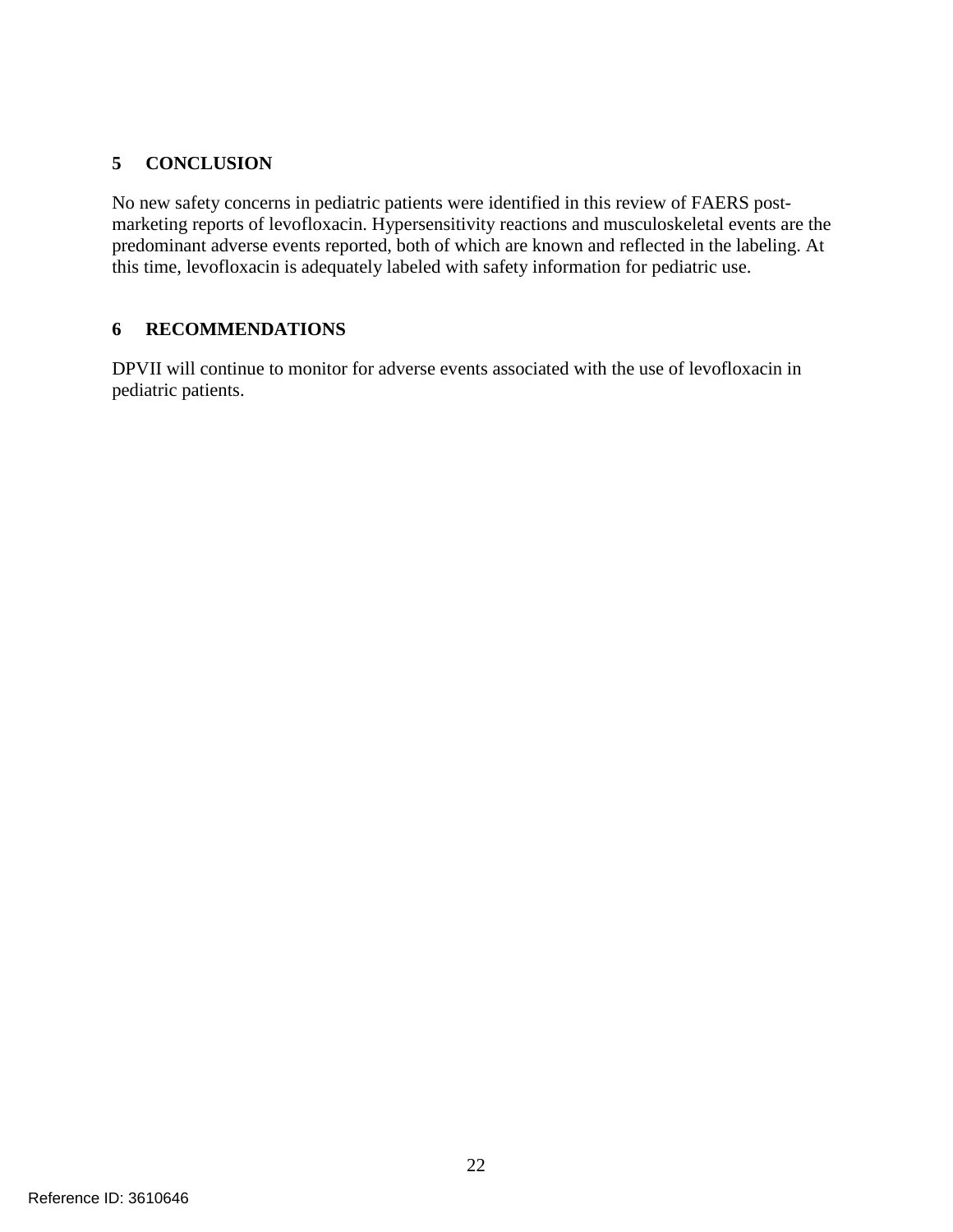# <span id="page-23-0"></span>**5 CONCLUSION**

No new safety concerns in pediatric patients were identified in this review of FAERS postmarketing reports of levofloxacin. Hypersensitivity reactions and musculoskeletal events are the predominant adverse events reported, both of which are known and reflected in the labeling. At this time, levofloxacin is adequately labeled with safety information for pediatric use.

# <span id="page-23-1"></span>**6 RECOMMENDATIONS**

DPVII will continue to monitor for adverse events associated with the use of levofloxacin in pediatric patients.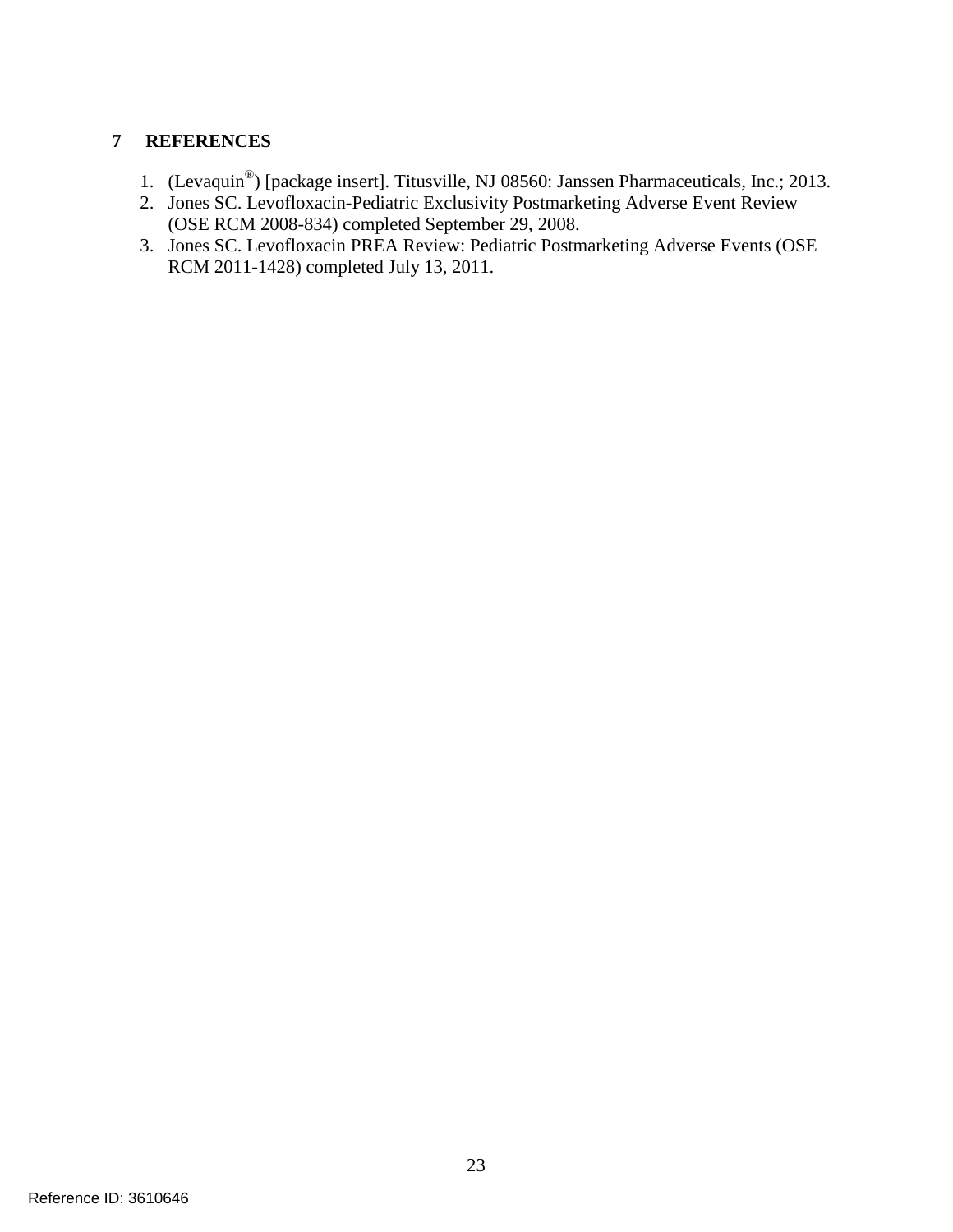# <span id="page-24-0"></span>**7 REFERENCES**

- 1. (Levaquin<sup>®</sup>) [package insert]. Titusville, NJ 08560: Janssen Pharmaceuticals, Inc.; 2013.
- 2. Jones SC. Levofloxacin-Pediatric Exclusivity Postmarketing Adverse Event Review (OSE RCM 2008-834) completed September 29, 2008.
- 3. Jones SC. Levofloxacin PREA Review: Pediatric Postmarketing Adverse Events (OSE RCM 2011-1428) completed July 13, 2011.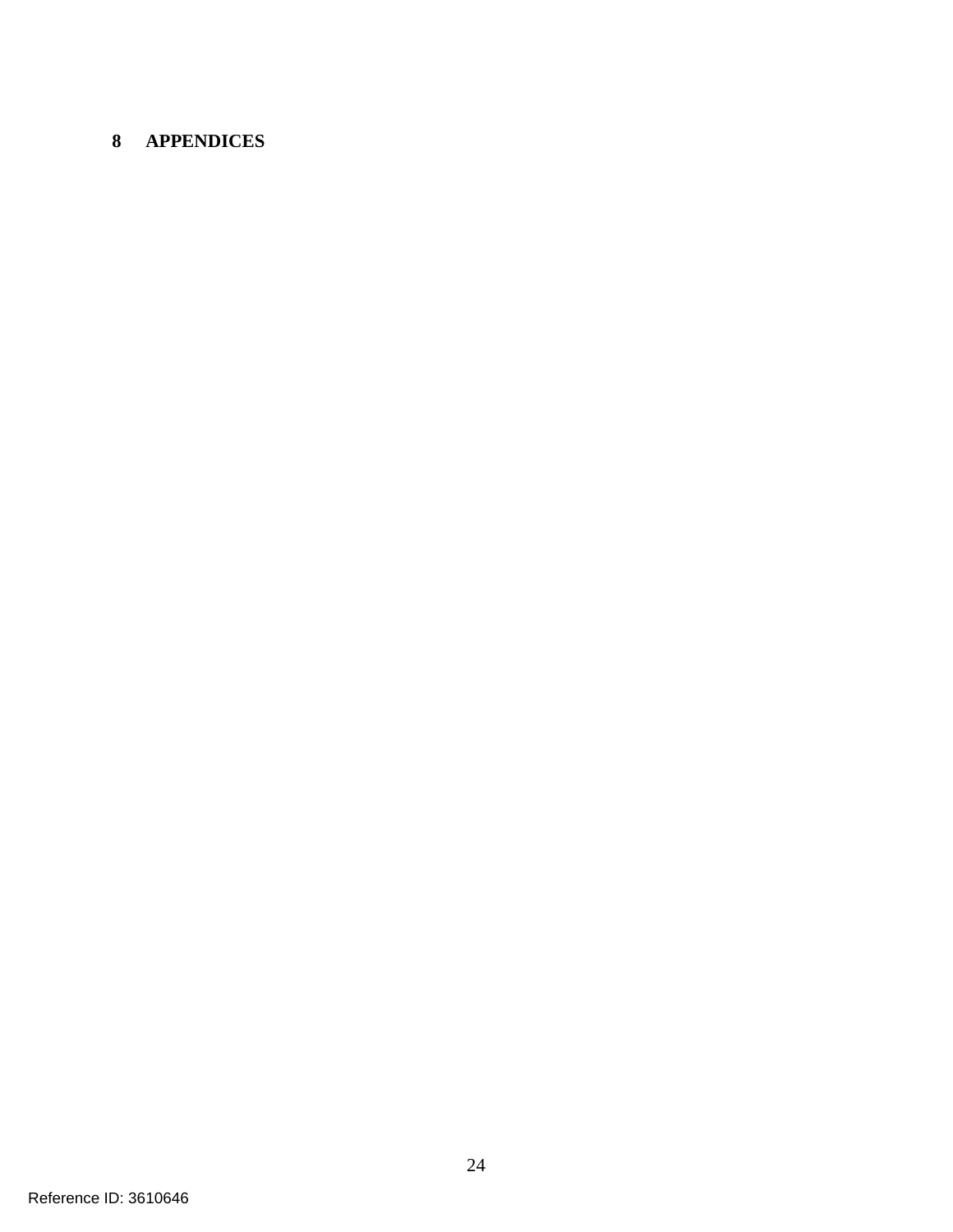# <span id="page-25-0"></span>**APPENDICES**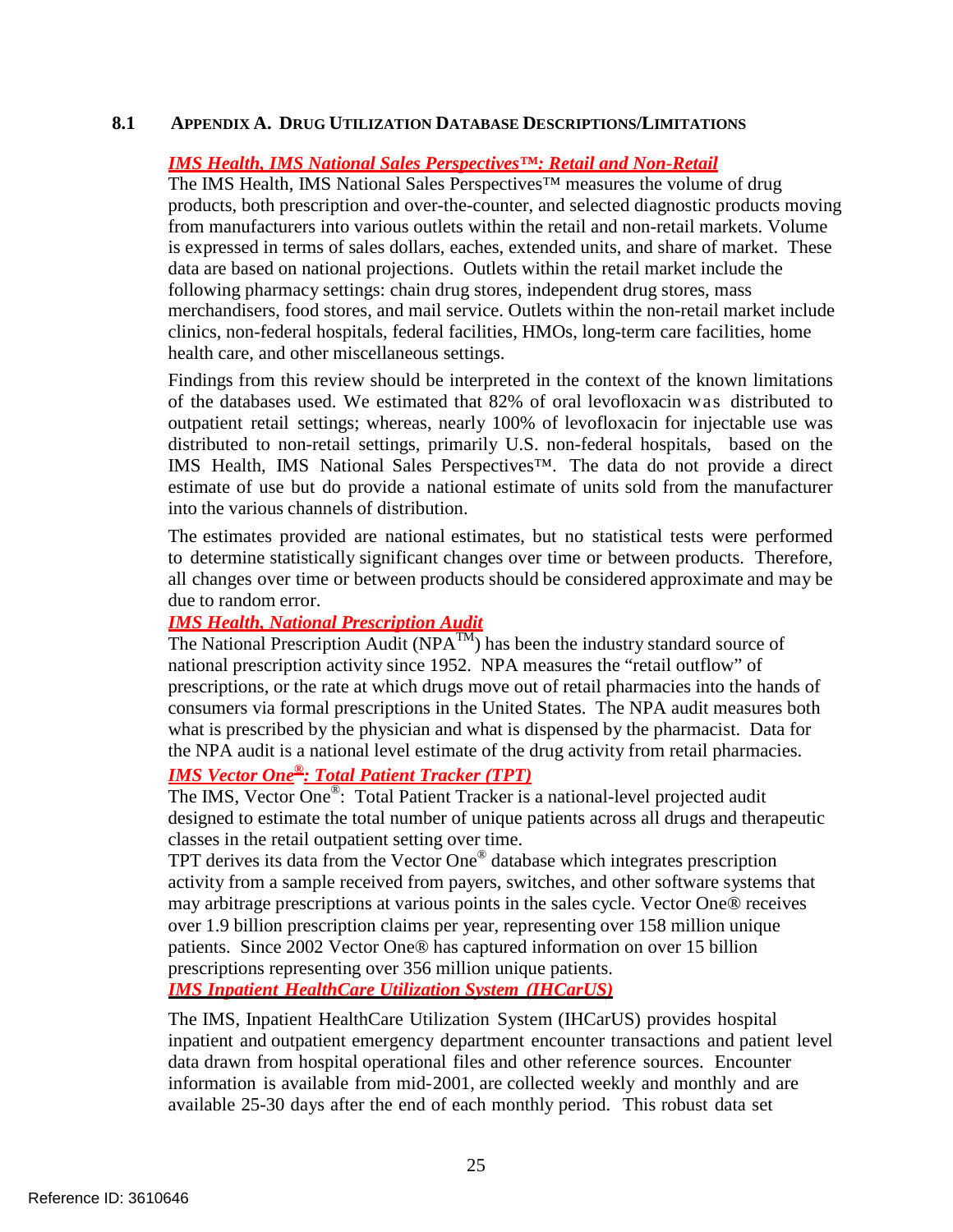### <span id="page-26-0"></span>**8.1 APPENDIX A. DRUG UTILIZATION DATABASE DESCRIPTIONS/LIMITATIONS**

### *IMS Health, IMS National Sales Perspectives™: Retail and Non-Retail*

The IMS Health, IMS National Sales Perspectives™ measures the volume of drug products, both prescription and over-the-counter, and selected diagnostic products moving from manufacturers into various outlets within the retail and non-retail markets. Volume is expressed in terms of sales dollars, eaches, extended units, and share of market. These data are based on national projections. Outlets within the retail market include the following pharmacy settings: chain drug stores, independent drug stores, mass merchandisers, food stores, and mail service. Outlets within the non-retail market include clinics, non-federal hospitals, federal facilities, HMOs, long-term care facilities, home health care, and other miscellaneous settings.

Findings from this review should be interpreted in the context of the known limitations of the databases used. We estimated that 82% of oral levofloxacin was distributed to outpatient retail settings; whereas, nearly 100% of levofloxacin for injectable use was distributed to non-retail settings, primarily U.S. non-federal hospitals, based on the IMS Health, IMS National Sales Perspectives™. The data do not provide a direct estimate of use but do provide a national estimate of units sold from the manufacturer into the various channels of distribution.

The estimates provided are national estimates, but no statistical tests were performed to determine statistically significant changes over time or between products. Therefore, all changes over time or between products should be considered approximate and may be due to random error.

### *IMS Health, National Prescription Audit*

The National Prescription Audit ( $NPA^{TM}$ ) has been the industry standard source of national prescription activity since 1952. NPA measures the "retail outflow" of prescriptions, or the rate at which drugs move out of retail pharmacies into the hands of consumers via formal prescriptions in the United States. The NPA audit measures both what is prescribed by the physician and what is dispensed by the pharmacist. Data for the NPA audit is a national level estimate of the drug activity from retail pharmacies.

# *IMS Vector One ®: Total Patient Tracker (TPT)*

The IMS, Vector One<sup>®</sup>: Total Patient Tracker is a national-level projected audit designed to estimate the total number of unique patients across all drugs and therapeutic classes in the retail outpatient setting over time.

TPT derives its data from the Vector One ® database which integrates prescription activity from a sample received from payers, switches, and other software systems that may arbitrage prescriptions at various points in the sales cycle. Vector One® receives over 1.9 billion prescription claims per year, representing over 158 million unique patients. Since 2002 Vector One® has captured information on over 15 billion prescriptions representing over 356 million unique patients.

*IMS Inpatient HealthCare Utilization System (IHCarUS)*

The IMS, Inpatient HealthCare Utilization System (IHCarUS) provides hospital inpatient and outpatient emergency department encounter transactions and patient level data drawn from hospital operational files and other reference sources. Encounter information is available from mid-2001, are collected weekly and monthly and are available 25-30 days after the end of each monthly period. This robust data set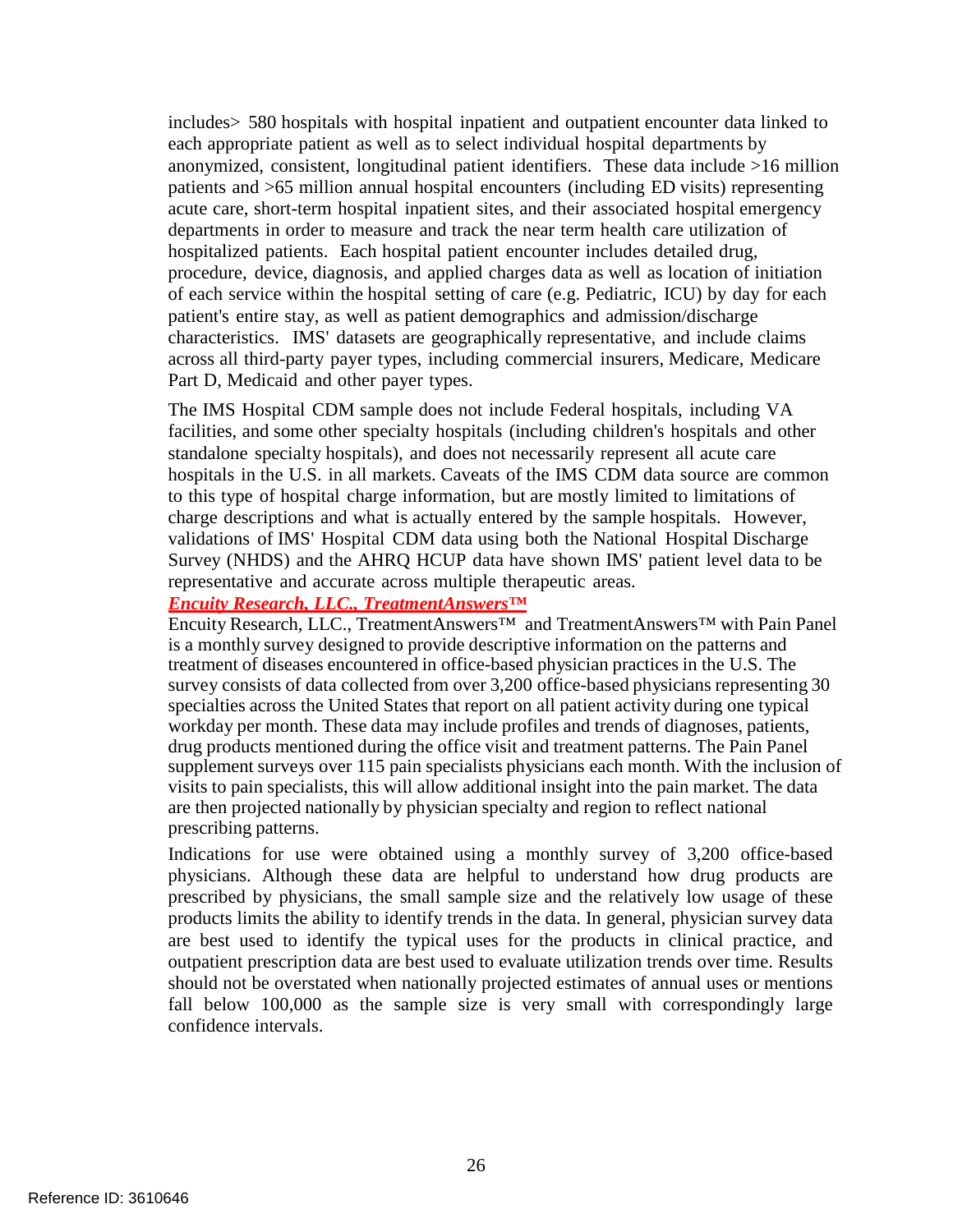includes> 580 hospitals with hospital inpatient and outpatient encounter data linked to each appropriate patient as well as to select individual hospital departments by anonymized, consistent, longitudinal patient identifiers. These data include >16 million patients and >65 million annual hospital encounters (including ED visits) representing acute care, short-term hospital inpatient sites, and their associated hospital emergency departments in order to measure and track the near term health care utilization of hospitalized patients. Each hospital patient encounter includes detailed drug, procedure, device, diagnosis, and applied charges data as well as location of initiation of each service within the hospital setting of care (e.g. Pediatric, ICU) by day for each patient's entire stay, as well as patient demographics and admission/discharge characteristics. IMS' datasets are geographically representative, and include claims across all third-party payer types, including commercial insurers, Medicare, Medicare Part D, Medicaid and other payer types.

The IMS Hospital CDM sample does not include Federal hospitals, including VA facilities, and some other specialty hospitals (including children's hospitals and other standalone specialty hospitals), and does not necessarily represent all acute care hospitals in the U.S. in all markets. Caveats of the IMS CDM data source are common to this type of hospital charge information, but are mostly limited to limitations of charge descriptions and what is actually entered by the sample hospitals. However, validations of IMS' Hospital CDM data using both the National Hospital Discharge Survey (NHDS) and the AHRQ HCUP data have shown IMS' patient level data to be representative and accurate across multiple therapeutic areas.

### *Encuity Research, LLC., TreatmentAnswers™*

Encuity Research, LLC., TreatmentAnswers™ and TreatmentAnswers™ with Pain Panel is a monthly survey designed to provide descriptive information on the patterns and treatment of diseases encountered in office-based physician practices in the U.S. The survey consists of data collected from over 3,200 office-based physicians representing 30 specialties across the United States that report on all patient activity during one typical workday per month. These data may include profiles and trends of diagnoses, patients, drug products mentioned during the office visit and treatment patterns. The Pain Panel supplement surveys over 115 pain specialists physicians each month. With the inclusion of visits to pain specialists, this will allow additional insight into the pain market. The data are then projected nationally by physician specialty and region to reflect national prescribing patterns.

Indications for use were obtained using a monthly survey of 3,200 office-based physicians. Although these data are helpful to understand how drug products are prescribed by physicians, the small sample size and the relatively low usage of these products limits the ability to identify trends in the data. In general, physician survey data are best used to identify the typical uses for the products in clinical practice, and outpatient prescription data are best used to evaluate utilization trends over time. Results should not be overstated when nationally projected estimates of annual uses or mentions fall below 100,000 as the sample size is very small with correspondingly large confidence intervals.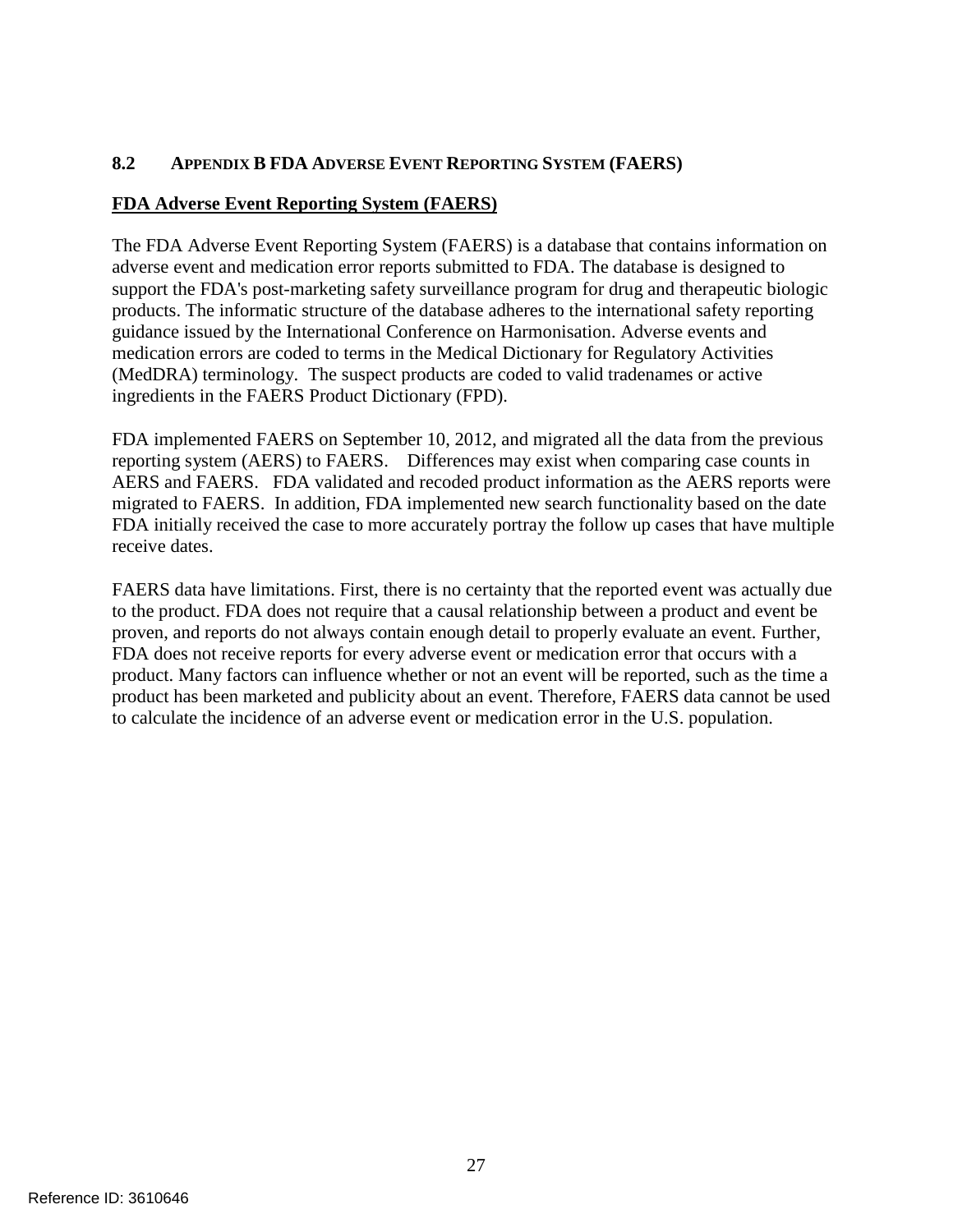# <span id="page-28-0"></span>**8.2 APPENDIX B FDA ADVERSE EVENT REPORTING SYSTEM (FAERS)**

### **FDA Adverse Event Reporting System (FAERS)**

The FDA Adverse Event Reporting System (FAERS) is a database that contains information on adverse event and medication error reports submitted to FDA. The database is designed to support the FDA's post-marketing safety surveillance program for drug and therapeutic biologic products. The informatic structure of the database adheres to the international safety reporting guidance issued by the International Conference on Harmonisation. Adverse events and medication errors are coded to terms in the Medical Dictionary for Regulatory Activities (MedDRA) terminology. The suspect products are coded to valid tradenames or active ingredients in the FAERS Product Dictionary (FPD).

FDA implemented FAERS on September 10, 2012, and migrated all the data from the previous reporting system (AERS) to FAERS. Differences may exist when comparing case counts in AERS and FAERS. FDA validated and recoded product information as the AERS reports were migrated to FAERS. In addition, FDA implemented new search functionality based on the date FDA initially received the case to more accurately portray the follow up cases that have multiple receive dates.

FAERS data have limitations. First, there is no certainty that the reported event was actually due to the product. FDA does not require that a causal relationship between a product and event be proven, and reports do not always contain enough detail to properly evaluate an event. Further, FDA does not receive reports for every adverse event or medication error that occurs with a product. Many factors can influence whether or not an event will be reported, such as the time a product has been marketed and publicity about an event. Therefore, FAERS data cannot be used to calculate the incidence of an adverse event or medication error in the U.S. population.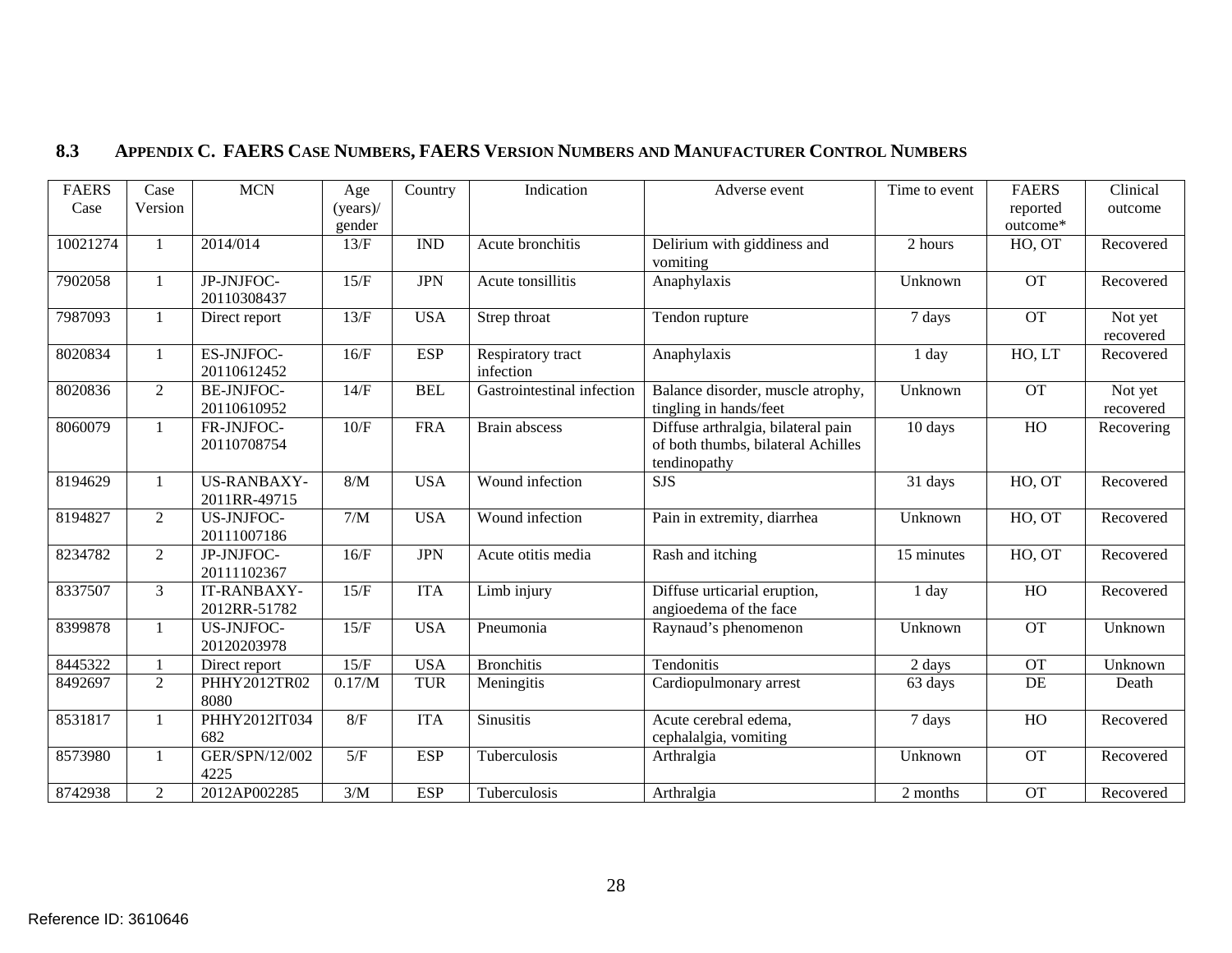<span id="page-29-0"></span>

| <b>FAERS</b> | Case           | <b>MCN</b>         | Age         | Country    | Indication                 | Adverse event                      | Time to event | <b>FAERS</b>    | Clinical   |
|--------------|----------------|--------------------|-------------|------------|----------------------------|------------------------------------|---------------|-----------------|------------|
| Case         | Version        |                    | $(years)$ / |            |                            |                                    |               | reported        | outcome    |
|              |                |                    | gender      |            |                            |                                    |               | outcome*        |            |
| 10021274     | $\mathbf{1}$   | 2014/014           | 13/F        | <b>IND</b> | Acute bronchitis           | Delirium with giddiness and        | 2 hours       | HO, OT          | Recovered  |
|              |                |                    |             |            |                            | vomiting                           |               |                 |            |
| 7902058      | $\mathbf{1}$   | JP-JNJFOC-         | 15/F        | <b>JPN</b> | Acute tonsillitis          | Anaphylaxis                        | Unknown       | <b>OT</b>       | Recovered  |
|              |                | 20110308437        |             |            |                            |                                    |               |                 |            |
| 7987093      | 1              | Direct report      | 13/F        | <b>USA</b> | Strep throat               | Tendon rupture                     | 7 days        | <b>OT</b>       | Not yet    |
|              |                |                    |             |            |                            |                                    |               |                 | recovered  |
| 8020834      | 1              | ES-JNJFOC-         | 16/F        | <b>ESP</b> | Respiratory tract          | Anaphylaxis                        | 1 day         | HO, LT          | Recovered  |
|              |                | 20110612452        |             |            | infection                  |                                    |               |                 |            |
| 8020836      | $\overline{2}$ | <b>BE-JNJFOC-</b>  | 14/F        | <b>BEL</b> | Gastrointestinal infection | Balance disorder, muscle atrophy,  | Unknown       | $\overline{OT}$ | Not yet    |
|              |                | 20110610952        |             |            |                            | tingling in hands/feet             |               |                 | recovered  |
| 8060079      | 1              | FR-JNJFOC-         | 10/F        | <b>FRA</b> | Brain abscess              | Diffuse arthralgia, bilateral pain | 10 days       | HO              | Recovering |
|              |                | 20110708754        |             |            |                            | of both thumbs, bilateral Achilles |               |                 |            |
|              |                |                    |             |            |                            | tendinopathy                       |               |                 |            |
| 8194629      | $\mathbf{1}$   | <b>US-RANBAXY-</b> | $8/M$       | <b>USA</b> | Wound infection            | <b>SJS</b>                         | 31 days       | HO, OT          | Recovered  |
|              |                | 2011RR-49715       |             |            |                            |                                    |               |                 |            |
| 8194827      | $\overline{2}$ | <b>US-JNJFOC-</b>  | 7/M         | <b>USA</b> | Wound infection            | Pain in extremity, diarrhea        | Unknown       | HO, OT          | Recovered  |
|              |                | 20111007186        |             |            |                            |                                    |               |                 |            |
| 8234782      | $\overline{2}$ | JP-JNJFOC-         | 16/F        | <b>JPN</b> | Acute otitis media         | Rash and itching                   | 15 minutes    | HO, OT          | Recovered  |
|              |                | 20111102367        |             |            |                            |                                    |               |                 |            |
| 8337507      | 3              | IT-RANBAXY-        | 15/F        | <b>ITA</b> | Limb injury                | Diffuse urticarial eruption,       | 1 day         | HO              | Recovered  |
|              |                | 2012RR-51782       |             |            |                            | angioedema of the face             |               |                 |            |
| 8399878      | $\mathbf{1}$   | <b>US-JNJFOC-</b>  | 15/F        | <b>USA</b> | Pneumonia                  | Raynaud's phenomenon               | Unknown       | <b>OT</b>       | Unknown    |
|              |                | 20120203978        |             |            |                            |                                    |               |                 |            |
| 8445322      |                | Direct report      | 15/F        | <b>USA</b> | <b>Bronchitis</b>          | Tendonitis                         | 2 days        | <b>OT</b>       | Unknown    |
| 8492697      | $\overline{2}$ | PHHY2012TR02       | 0.17/M      | <b>TUR</b> | Meningitis                 | Cardiopulmonary arrest             | 63 days       | DE              | Death      |
|              |                | 8080               |             |            |                            |                                    |               |                 |            |
| 8531817      | $\mathbf{1}$   | PHHY2012IT034      | 8/F         | <b>ITA</b> | <b>Sinusitis</b>           | Acute cerebral edema,              | 7 days        | H <sub>O</sub>  | Recovered  |
|              |                | 682                |             |            |                            | cephalalgia, vomiting              |               |                 |            |
| 8573980      | -1             | GER/SPN/12/002     | 5/F         | <b>ESP</b> | Tuberculosis               | Arthralgia                         | Unknown       | $\overline{OT}$ | Recovered  |
|              |                | 4225               |             |            |                            |                                    |               |                 |            |
| 8742938      | $\overline{2}$ | 2012AP002285       | 3/M         | <b>ESP</b> | Tuberculosis               | Arthralgia                         | 2 months      | <b>OT</b>       | Recovered  |

# **8.3 APPENDIX C. FAERS CASE NUMBERS, FAERS VERSION NUMBERS AND MANUFACTURER CONTROL NUMBERS**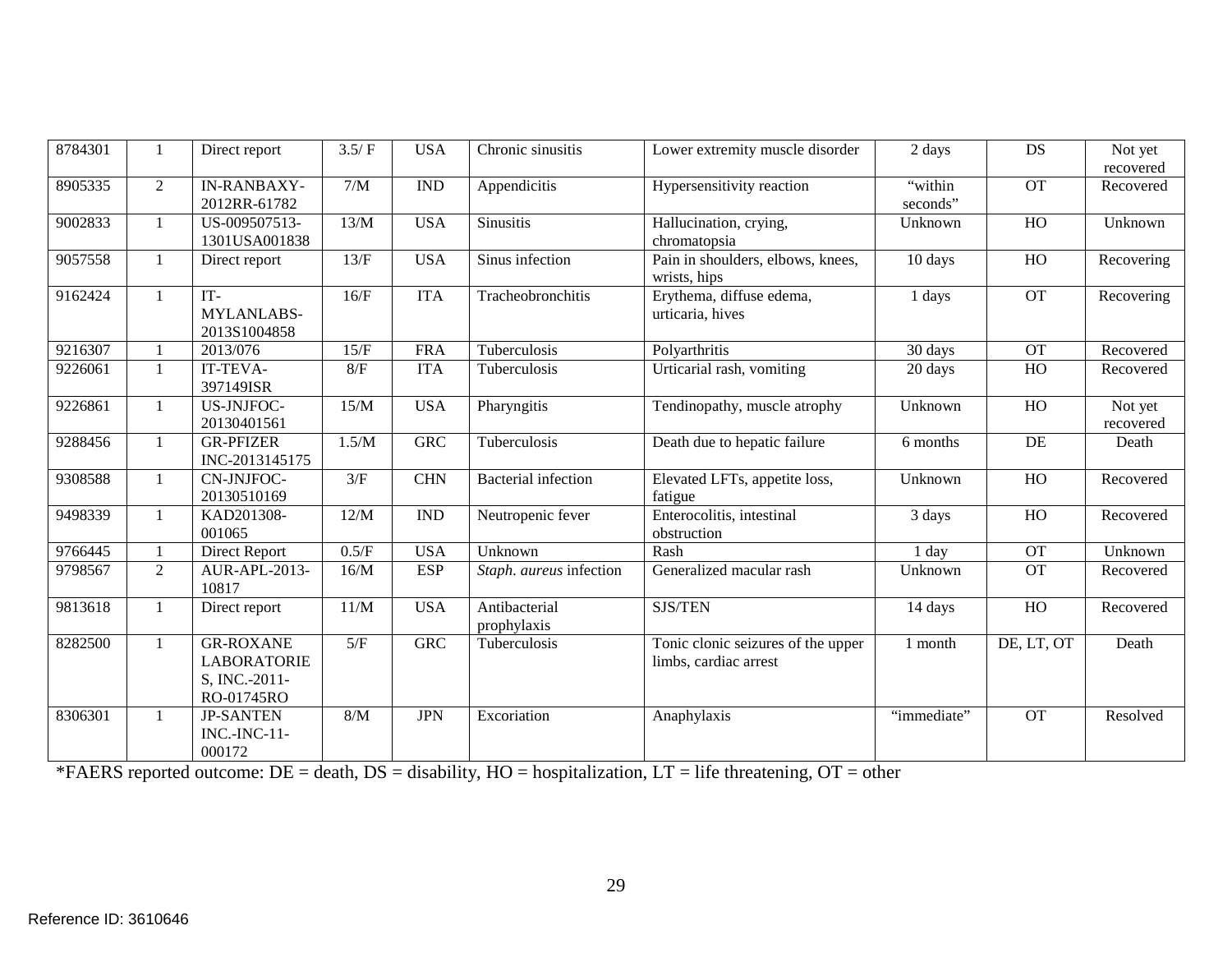| 8784301 |                | Direct report                                                         | 3.5/F | <b>USA</b> | Chronic sinusitis            | Lower extremity muscle disorder                             | 2 days              | DS             | Not yet<br>recovered |
|---------|----------------|-----------------------------------------------------------------------|-------|------------|------------------------------|-------------------------------------------------------------|---------------------|----------------|----------------------|
| 8905335 | 2              | <b>IN-RANBAXY-</b><br>2012RR-61782                                    | 7/M   | <b>IND</b> | Appendicitis                 | Hypersensitivity reaction                                   | "within<br>seconds" | <b>OT</b>      | Recovered            |
| 9002833 |                | US-009507513-<br>1301USA001838                                        | 13/M  | <b>USA</b> | <b>Sinusitis</b>             | Hallucination, crying,<br>chromatopsia                      | Unknown             | HO             | Unknown              |
| 9057558 | 1              | Direct report                                                         | 13/F  | <b>USA</b> | Sinus infection              | Pain in shoulders, elbows, knees,<br>wrists, hips           | 10 days             | HO             | Recovering           |
| 9162424 | $\mathbf{1}$   | IT-<br>MYLANLABS-<br>2013S1004858                                     | 16/F  | <b>ITA</b> | Tracheobronchitis            | Erythema, diffuse edema,<br>urticaria, hives                | 1 days              | <b>OT</b>      | Recovering           |
| 9216307 |                | 2013/076                                                              | 15/F  | <b>FRA</b> | Tuberculosis                 | Polyarthritis                                               | 30 days             | <b>OT</b>      | Recovered            |
| 9226061 | $\mathbf{1}$   | IT-TEVA-<br>397149ISR                                                 | 8/F   | <b>ITA</b> | Tuberculosis                 | Urticarial rash, vomiting                                   | 20 days             | HO             | Recovered            |
| 9226861 | $\mathbf{1}$   | US-JNJFOC-<br>20130401561                                             | 15/M  | <b>USA</b> | Pharyngitis                  | Tendinopathy, muscle atrophy                                | Unknown             | HO             | Not yet<br>recovered |
| 9288456 | 1              | <b>GR-PFIZER</b><br>INC-2013145175                                    | 1.5/M | <b>GRC</b> | Tuberculosis                 | Death due to hepatic failure                                | 6 months            | DE             | Death                |
| 9308588 | 1              | CN-JNJFOC-<br>20130510169                                             | 3/F   | <b>CHN</b> | <b>Bacterial</b> infection   | Elevated LFTs, appetite loss,<br>fatigue                    | Unknown             | HO             | Recovered            |
| 9498339 |                | KAD201308-<br>001065                                                  | 12/M  | <b>IND</b> | Neutropenic fever            | Enterocolitis, intestinal<br>obstruction                    | 3 days              | HO             | Recovered            |
| 9766445 |                | <b>Direct Report</b>                                                  | 0.5/F | <b>USA</b> | Unknown                      | Rash                                                        | 1 day               | <b>OT</b>      | Unknown              |
| 9798567 | $\overline{2}$ | AUR-APL-2013-<br>10817                                                | 16/M  | <b>ESP</b> | Staph. aureus infection      | Generalized macular rash                                    | Unknown             | <b>OT</b>      | Recovered            |
| 9813618 |                | Direct report                                                         | 11/M  | <b>USA</b> | Antibacterial<br>prophylaxis | SJS/TEN                                                     | 14 days             | H <sub>O</sub> | Recovered            |
| 8282500 | $\mathbf{1}$   | <b>GR-ROXANE</b><br><b>LABORATORIE</b><br>S, INC.-2011-<br>RO-01745RO | 5/F   | <b>GRC</b> | Tuberculosis                 | Tonic clonic seizures of the upper<br>limbs, cardiac arrest | 1 month             | DE, LT, OT     | Death                |
| 8306301 |                | <b>JP-SANTEN</b><br><b>INC.-INC-11-</b><br>000172                     | $8/M$ | <b>JPN</b> | Excoriation                  | Anaphylaxis                                                 | "immediate"         | <b>OT</b>      | Resolved             |

\*FAERS reported outcome: DE = death, DS = disability, HO = hospitalization, LT = life threatening, OT = other